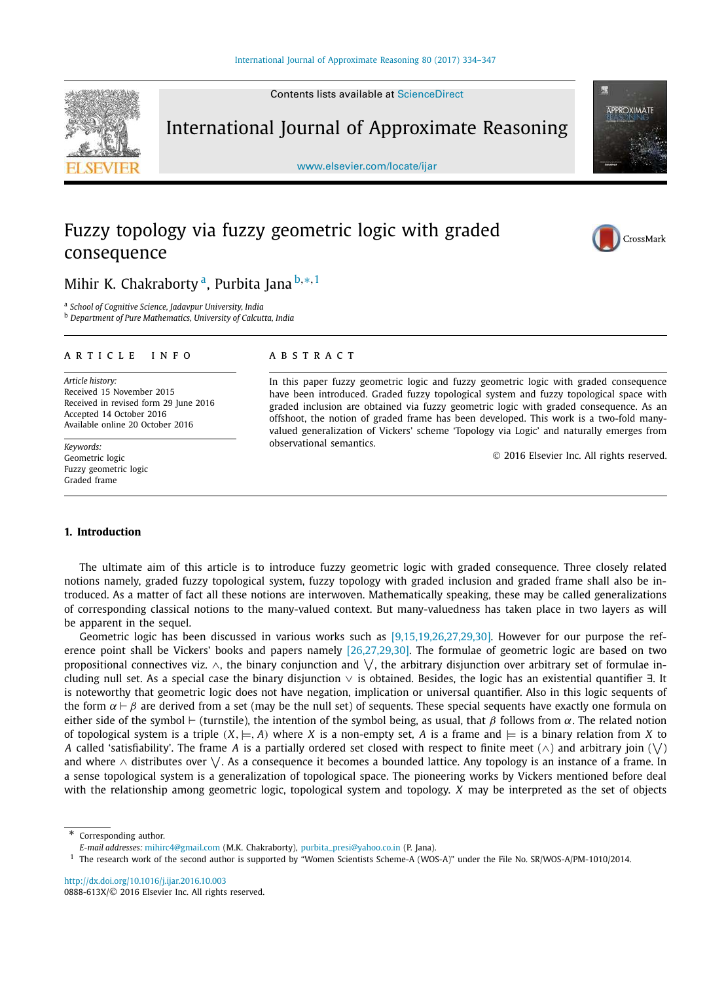Contents lists available at ScienceDirect



International Journal of Approximate Reasoning

www.elsevier.com/locate/ijar

# Fuzzy topology via fuzzy geometric logic with graded consequence





## Mihir K. Chakraborty <sup>a</sup>, Purbita Jana <sup>b,</sup>\*<sup>,1</sup>

a *School of Cognitive Science, Jadavpur University, India*

<sup>b</sup> *Department of Pure Mathematics, University of Calcutta, India*

#### A R T I C L E I N F O A B S T R A C T

*Article history:* Received 15 November 2015 Received in revised form 29 June 2016 Accepted 14 October 2016 Available online 20 October 2016

*Keywords:* Geometric logic Fuzzy geometric logic Graded frame

In this paper fuzzy geometric logic and fuzzy geometric logic with graded consequence have been introduced. Graded fuzzy topological system and fuzzy topological space with graded inclusion are obtained via fuzzy geometric logic with graded consequence. As an offshoot, the notion of graded frame has been developed. This work is a two-fold manyvalued generalization of Vickers' scheme 'Topology via Logic' and naturally emerges from observational semantics.

2016 Elsevier Inc. All rights reserved.

#### **1. Introduction**

The ultimate aim of this article is to introduce fuzzy geometric logic with graded consequence. Three closely related notions namely, graded fuzzy topological system, fuzzy topology with graded inclusion and graded frame shall also be introduced. As a matter of fact all these notions are interwoven. Mathematically speaking, these may be called generalizations of corresponding classical notions to the many-valued context. But many-valuedness has taken place in two layers as will be apparent in the sequel.

Geometric logic has been discussed in various works such as [9,15,19,26,27,29,30]. However for our purpose the reference point shall be Vickers' books and papers namely [26,27,29,30]. The formulae of geometric logic are based on two propositional connectives viz.  $\wedge$ , the binary conjunction and  $\vee$ , the arbitrary disjunction over arbitrary set of formulae including null set. As a special case the binary disjunction ∨ is obtained. Besides, the logic has an existential quantifier ∃. It is noteworthy that geometric logic does not have negation, implication or universal quantifier. Also in this logic sequents of the form  $\alpha \vdash \beta$  are derived from a set (may be the null set) of sequents. These special sequents have exactly one formula on either side of the symbol ⊢ (turnstile), the intention of the symbol being, as usual, that  $\beta$  follows from  $\alpha$ . The related notion of topological system is a triple  $(X, \models, A)$  where *X* is a non-empty set, *A* is a frame and  $\models$  is a binary relation from *X* to A called 'satisfiability'. The frame A is a partially ordered set closed with respect to finite meet (∧) and arbitrary join ( $\bigvee$ ) and where ∧ distributes over  $\vee$ . As a consequence it becomes a bounded lattice. Any topology is an instance of a frame. In a sense topological system is a generalization of topological space. The pioneering works by Vickers mentioned before deal with the relationship among geometric logic, topological system and topology. *X* may be interpreted as the set of objects

Corresponding author.

*E-mail addresses:* mihirc4@gmail.com (M.K. Chakraborty), purbita\_presi@yahoo.co.in (P. Jana).

<sup>1</sup> The research work of the second author is supported by "Women Scientists Scheme-A (WOS-A)" under the File No. SR/WOS-A/PM-1010/2014.

http://dx.doi.org/10.1016/j.ijar.2016.10.003 0888-613X/© 2016 Elsevier Inc. All rights reserved.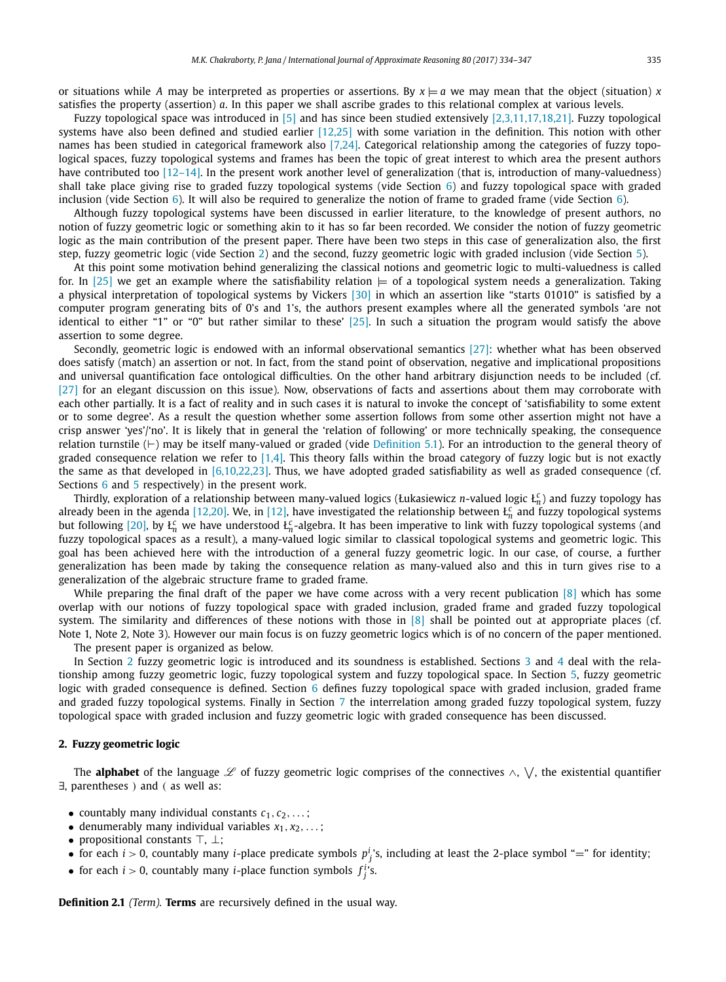or situations while *A* may be interpreted as properties or assertions. By  $x \models a$  we may mean that the object (situation) *x* satisfies the property (assertion) *a*. In this paper we shall ascribe grades to this relational complex at various levels.

Fuzzy topological space was introduced in [5] and has since been studied extensively [2,3,11,17,18,21]. Fuzzy topological systems have also been defined and studied earlier [12,25] with some variation in the definition. This notion with other names has been studied in categorical framework also [7,24]. Categorical relationship among the categories of fuzzy topological spaces, fuzzy topological systems and frames has been the topic of great interest to which area the present authors have contributed too [12–14]. In the present work another level of generalization (that is, introduction of many-valuedness) shall take place giving rise to graded fuzzy topological systems (vide Section  $6$ ) and fuzzy topological space with graded inclusion (vide Section 6). It will also be required to generalize the notion of frame to graded frame (vide Section 6).

Although fuzzy topological systems have been discussed in earlier literature, to the knowledge of present authors, no notion of fuzzy geometric logic or something akin to it has so far been recorded. We consider the notion of fuzzy geometric logic as the main contribution of the present paper. There have been two steps in this case of generalization also, the first step, fuzzy geometric logic (vide Section 2) and the second, fuzzy geometric logic with graded inclusion (vide Section 5).

At this point some motivation behind generalizing the classical notions and geometric logic to multi-valuedness is called for. In [25] we get an example where the satisfiability relation  $\models$  of a topological system needs a generalization. Taking a physical interpretation of topological systems by Vickers  $\lceil 30 \rceil$  in which an assertion like "starts 01010" is satisfied by a computer program generating bits of 0's and 1's, the authors present examples where all the generated symbols 'are not identical to either "1" or "0" but rather similar to these' [25]. In such a situation the program would satisfy the above assertion to some degree.

Secondly, geometric logic is endowed with an informal observational semantics [27]: whether what has been observed does satisfy (match) an assertion or not. In fact, from the stand point of observation, negative and implicational propositions and universal quantification face ontological difficulties. On the other hand arbitrary disjunction needs to be included (cf. [27] for an elegant discussion on this issue). Now, observations of facts and assertions about them may corroborate with each other partially. It is a fact of reality and in such cases it is natural to invoke the concept of 'satisfiability to some extent or to some degree'. As a result the question whether some assertion follows from some other assertion might not have a crisp answer 'yes'/'no'. It is likely that in general the 'relation of following' or more technically speaking, the consequence relation turnstile (⊢) may be itself many-valued or graded (vide Definition 5.1). For an introduction to the general theory of graded consequence relation we refer to [1,4]. This theory falls within the broad category of fuzzy logic but is not exactly the same as that developed in [6,10,22,23]. Thus, we have adopted graded satisfiability as well as graded consequence (cf. Sections 6 and 5 respectively) in the present work.

Thirdly, exploration of a relationship between many-valued logics (Łukasiewicz *n*-valued logic Ł *c n* ) and fuzzy topology has already been in the agenda [12,20]. We, in [12], have investigated the relationship between  $f_n^c$  and fuzzy topological systems but following [20], by  $L_n^c$  we have understood  $L_n^c$ -algebra. It has been imperative to link with fuzzy topological systems (and fuzzy topological spaces as a result), a many-valued logic similar to classical topological systems and geometric logic. This goal has been achieved here with the introduction of a general fuzzy geometric logic. In our case, of course, a further generalization has been made by taking the consequence relation as many-valued also and this in turn gives rise to a generalization of the algebraic structure frame to graded frame.

While preparing the final draft of the paper we have come across with a very recent publication  $[8]$  which has some overlap with our notions of fuzzy topological space with graded inclusion, graded frame and graded fuzzy topological system. The similarity and differences of these notions with those in  $[8]$  shall be pointed out at appropriate places (cf. Note 1, Note 2, Note 3). However our main focus is on fuzzy geometric logics which is of no concern of the paper mentioned.

The present paper is organized as below.

In Section 2 fuzzy geometric logic is introduced and its soundness is established. Sections 3 and 4 deal with the relationship among fuzzy geometric logic, fuzzy topological system and fuzzy topological space. In Section 5, fuzzy geometric logic with graded consequence is defined. Section 6 defines fuzzy topological space with graded inclusion, graded frame and graded fuzzy topological systems. Finally in Section 7 the interrelation among graded fuzzy topological system, fuzzy topological space with graded inclusion and fuzzy geometric logic with graded consequence has been discussed.

#### **2. Fuzzy geometric logic**

The **alphabet** of the language L of fuzzy geometric logic comprises of the connectives ∧,  $\vee$ , the existential quantifier ∃, parentheses ) and ( as well as:

- countably many individual constants  $c_1, c_2, \ldots;$
- denumerably many individual variables  $x_1, x_2, \ldots;$
- propositional constants ⊤, ⊥;
- for each  $i > 0$ , countably many *i*-place predicate symbols  $p_j^i$ 's, including at least the 2-place symbol "=" for identity;
- for each  $i > 0$ , countably many *i*-place function symbols  $f_j^i$ 's.

**Definition 2.1** *(Term).* **Terms** are recursively defined in the usual way.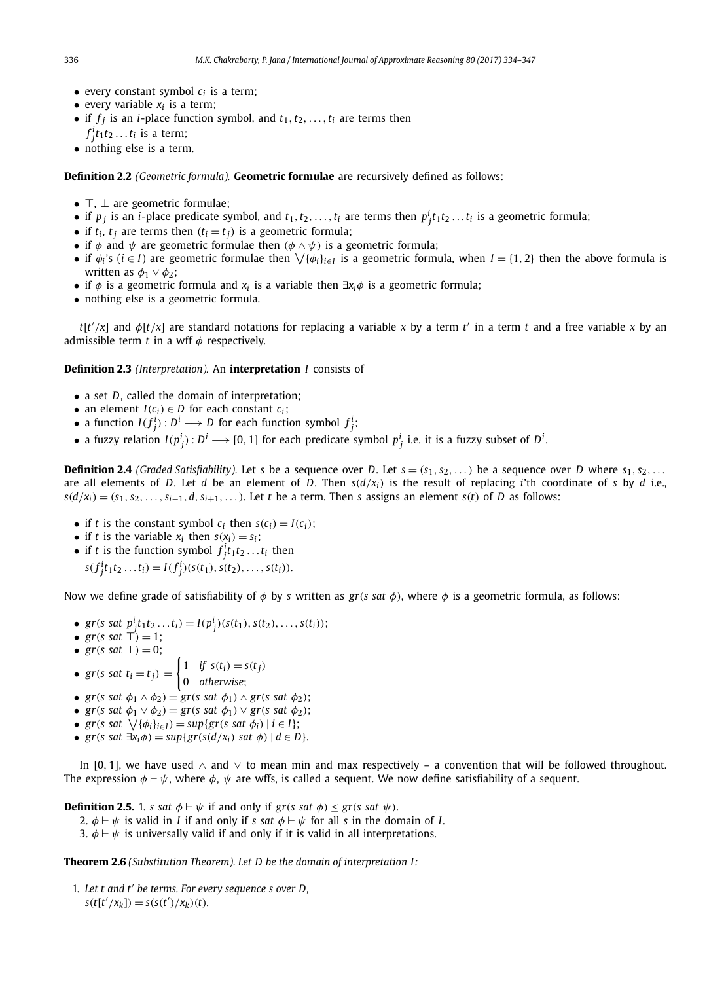- every constant symbol  $c_i$  is a term;
- every variable  $x_i$  is a term;
- if  $f_j$  is an *i*-place function symbol, and  $t_1, t_2, \ldots, t_i$  are terms then
- $f_j^i t_1 t_2 \ldots t_i$  is a term;
- nothing else is a term.

**Definition 2.2** *(Geometric formula).* **Geometric formulae** are recursively defined as follows:

- $\top$ ,  $\bot$  are geometric formulae:
- if  $p_j$  is an *i*-place predicate symbol, and  $t_1, t_2, \ldots, t_i$  are terms then  $p_j^i t_1 t_2 \ldots t_i$  is a geometric formula;
- if  $t_i$ ,  $t_j$  are terms then  $(t_i = t_j)$  is a geometric formula;
- if  $\phi$  and  $\psi$  are geometric formulae then  $(\phi \land \psi)$  is a geometric formula;
- if  $\phi_i$ 's ( $i \in I$ ) are geometric formulae then  $\setminus \{\phi_i\}_{i \in I}$  is a geometric formula, when  $I = \{1, 2\}$  then the above formula is written as  $\phi_1 \vee \phi_2$ ;
- if  $\phi$  is a geometric formula and *x*<sub>*i*</sub> is a variable then  $\exists x_i \phi$  is a geometric formula;
- nothing else is a geometric formula.

 $t[t'/x]$  and  $\phi[t/x]$  are standard notations for replacing a variable *x* by a term *t'* in a term *t* and a free variable *x* by an admissible term  $t$  in a wff  $\phi$  respectively.

#### **Definition 2.3** *(Interpretation).* An **interpretation** *I* consists of

- a set *D*, called the domain of interpretation;
- an element *I*( $c_i$ )  $\in$  *D* for each constant  $c_i$ ;
- a function  $I(f_j^i) : D^i \longrightarrow D$  for each function symbol  $f_j^i$ ;
- $\bullet$  a fuzzy relation  $I(p_j^i) : D^i \longrightarrow [0,1]$  for each predicate symbol  $p_j^i$  i.e. it is a fuzzy subset of  $D^i$ .

**Definition 2.4** *(Graded Satisfiability).* Let *s* be a sequence over *D*. Let  $s = (s_1, s_2, \ldots)$  be a sequence over *D* where  $s_1, s_2, \ldots$ are all elements of *D*. Let *d* be an element of *D*. Then  $s(d/x_i)$  is the result of replacing *i*'th coordinate of *s* by *d* i.e.,  $s(d/x_i) = (s_1, s_2, \ldots, s_{i-1}, d, s_{i+1}, \ldots)$ . Let *t* be a term. Then *s* assigns an element *s*(*t*) of *D* as follows:

- if *t* is the constant symbol  $c_i$  then  $s(c_i) = I(c_i)$ ;
- if *t* is the variable  $x_i$  then  $s(x_i) = s_i$ ;
- if *t* is the function symbol  $f_j^i t_1 t_2 \ldots t_i$  then  $s(f_j^i t_1 t_2 ... t_i) = I(f_j^i)(s(t_1), s(t_2), ..., s(t_i)).$

Now we define grade of satisfiability of  $\phi$  by *s* written as  $gr(s \text{ sat } \phi)$ , where  $\phi$  is a geometric formula, as follows:

- *gr*(*s sat*  $p_j^i t_1 t_2 ... t_i$ ) =  $I(p_j^i)(s(t_1), s(t_2), ..., s(t_i))$ ;
- $gr(s \text{ sat } \top) = 1;$
- $gr(s \text{ sat } \perp) = 0;$
- $gr(s \text{ sat } t_i = t_j) =$  $\int 1$  *if*  $s(t_i) = s(t_j)$ 0 *otherwise*;
- *gr*(*s sat*  $\phi_1 \wedge \phi_2$ ) = *gr*(*s sat*  $\phi_1$ )  $\wedge$  *gr*(*s sat*  $\phi_2$ );
- $gr(s \text{ sat } \phi_1 \vee \phi_2) = gr(s \text{ sat } \phi_1) \vee gr(s \text{ sat } \phi_2);$
- $\bullet$  *gr*(*s sat*  $\sqrt{\{\phi_i\}_{i\in I}}$ ) = *sup*{*gr*(*s sat*  $\phi_i$ ) | *i* ∈ *I*};
- $\bullet$  *gr*(*s sat* ∃*x*<sub>*i*</sub> $\phi$ ) = *sup*{*gr*(*s*(*d*/*x*<sub>*i*</sub>) *sat*  $\phi$ ) | *d* ∈ *D*}.

In [0, 1], we have used  $\land$  and  $\lor$  to mean min and max respectively – a convention that will be followed throughout. The expression  $\phi \vdash \psi$ , where  $\phi$ ,  $\psi$  are wffs, is called a sequent. We now define satisfiability of a sequent.

**Definition 2.5.** 1. *s sat*  $\phi \vdash \psi$  if and only if *gr*(*s sat*  $\phi$ )  $\leq$  *gr*(*s sat*  $\psi$ ).

- 2.  $\phi \vdash \psi$  is valid in *I* if and only if *s* sat  $\phi \vdash \psi$  for all *s* in the domain of *I*.
- 3.  $\phi \vdash \psi$  is universally valid if and only if it is valid in all interpretations.

**Theorem 2.6** *(Substitution Theorem). Let D be the domain of interpretation I :*

1. *Let t and t* ′ *be terms. For every sequence s over D,*  $s(t[t'/x_k]) = s(s(t')/x_k)(t).$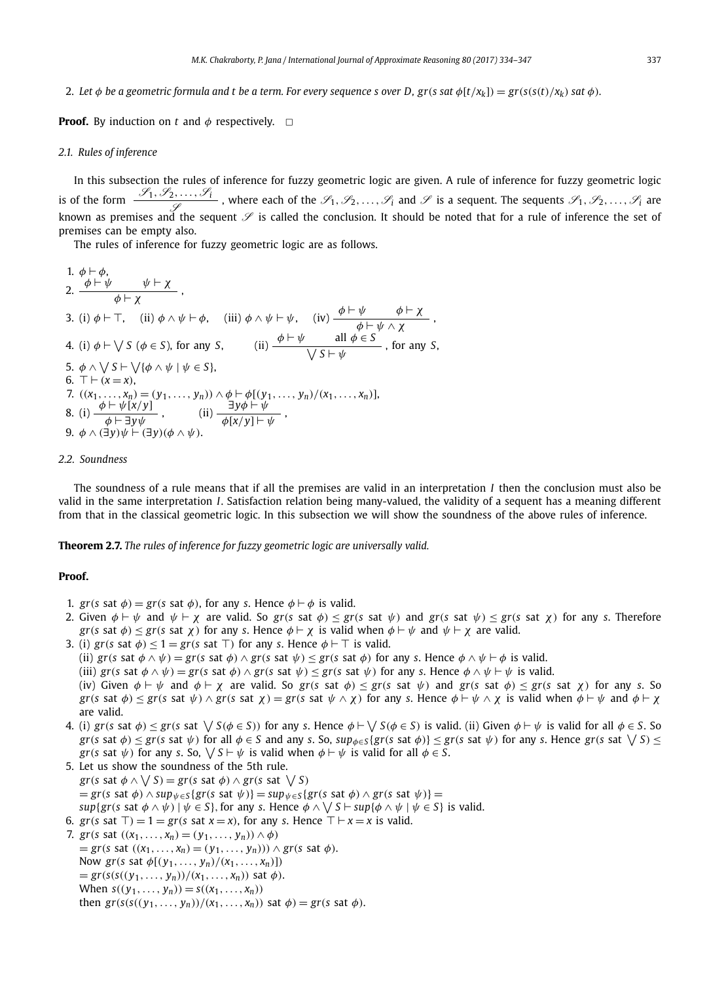2. Let  $\phi$  be a geometric formula and t be a term. For every sequence s over D,  $gr(s \text{ sat } \phi[t/x_k]) = gr(s(s(t)/x_k) \text{ sat } \phi)$ .

**Proof.** By induction on *t* and  $\phi$  respectively.  $\Box$ 

#### *2.1. Rules of inference*

In this subsection the rules of inference for fuzzy geometric logic are given. A rule of inference for fuzzy geometric logic is of the form  $\frac{S_1, S_2, \ldots, S_i}{S}$ , where each of the  $S_1, S_2, \ldots, S_i$  and  $S$  is a sequent. The sequents  $S_1, S_2, \ldots, S_i$  are known as premises and the sequent  $\mathscr S$  is called the conclusion. It should be noted that for a rule of inference the set of premises can be empty also.

The rules of inference for fuzzy geometric logic are as follows.

1. 
$$
\phi \vdash \phi
$$
,  
\n2.  $\frac{\phi \vdash \psi}{\phi \vdash \chi}$ ,  
\n3. (i)  $\phi \vdash \top$ , (ii)  $\phi \land \psi \vdash \phi$ , (iii)  $\phi \land \psi \vdash \psi$ , (iv)  $\frac{\phi \vdash \psi}{\phi \vdash \psi \land \chi}$ ,  
\n4. (i)  $\phi \vdash \sqrt{S (\phi \in S)}$ , for any *S*, (ii)  $\frac{\phi \vdash \psi}{\sqrt{S \vdash \psi}}$ , for any *S*,  
\n5.  $\phi \land \sqrt{S \vdash \sqrt{\{\phi \land \psi \mid \psi \in S\}}}$ ,  
\n6.  $\top \vdash (x = x)$ ,  
\n7.  $((x_1, ..., x_n) = (y_1, ..., y_n)) \land \phi \vdash \phi[(y_1, ..., y_n)/(x_1, ..., x_n)]$ ,  
\n8. (i)  $\frac{\phi \vdash \psi[x/y]}{\phi \vdash \exists y \psi}$ , (ii)  $\frac{\exists y \phi \vdash \psi}{\phi[x/y] \vdash \psi}$ ,  
\n9.  $\phi \land (\exists y) \psi \vdash (\exists y) (\phi \land \psi)$ .

#### *2.2. Soundness*

The soundness of a rule means that if all the premises are valid in an interpretation *I* then the conclusion must also be valid in the same interpretation *I*. Satisfaction relation being many-valued, the validity of a sequent has a meaning different from that in the classical geometric logic. In this subsection we will show the soundness of the above rules of inference.

**Theorem 2.7.** *The rules of inference for fuzzy geometric logic are universally valid.*

#### **Proof.**

- 1. *gr*(*s* sat  $\phi$ ) = *gr*(*s* sat  $\phi$ ), for any *s*. Hence  $\phi \vdash \phi$  is valid.
- 2. Given  $\phi \vdash \psi$  and  $\psi \vdash \chi$  are valid. So  $gr(s \text{ sat } \phi) \leq gr(s \text{ sat } \psi)$  and  $gr(s \text{ sat } \psi) \leq gr(s \text{ sat } \chi)$  for any *s*. Therefore *gr*(*s* sat  $\phi$ )  $\leq$  *gr*(*s* sat  $\chi$ ) for any *s*. Hence  $\phi \vdash \chi$  is valid when  $\phi \vdash \psi$  and  $\psi \vdash \chi$  are valid.
- 3. (i) *gr*(*s* sat  $\phi$ )  $\leq$  1 = *gr*(*s* sat ⊤) for any *s*. Hence  $\phi$   $\vdash$  ⊤ is valid. (ii)  $gr(s \text{ sat } \phi \land \psi) = gr(s \text{ sat } \phi) \land gr(s \text{ sat } \psi) \leq gr(s \text{ sat } \phi) \text{ for any } s.$  Hence  $\phi \land \psi \vdash \phi \text{ is valid.}$ (iii)  $gr(s \text{ sat } \phi \land \psi) = gr(s \text{ sat } \phi) \land gr(s \text{ sat } \psi) \leq gr(s \text{ sat } \psi) \text{ for any } s.$  Hence  $\phi \land \psi \vdash \psi$  is valid. (iv) Given  $\phi \vdash \psi$  and  $\phi \vdash \chi$  are valid. So *gr*(*s* sat  $\phi$ )  $\lt$  *gr*(*s* sat  $\psi$ ) and *gr*(*s* sat  $\phi$ )  $\lt$  *gr*(*s* sat  $\chi$ ) for any *s*. So *gr*(*s* sat  $\phi$ )  $\leq$  *gr*(*s* sat  $\psi$ )  $\wedge$  *gr*(*s* sat  $\chi$ ) = *gr*(*s* sat  $\psi$   $\wedge$   $\chi$ ) for any *s*. Hence  $\phi$   $\vdash \psi$   $\wedge$   $\chi$  is valid when  $\phi$   $\vdash \psi$  and  $\phi$   $\vdash \chi$ are valid.
- 4. (i)  $gr(s \, \text{sat} \, \phi) \leq gr(s \, \text{sat} \, \sqrt{S(\phi \in S)})$  for any *s*. Hence  $\phi \vdash \sqrt{S(\phi \in S)}$  is valid. (ii) Given  $\phi \vdash \psi$  is valid for all  $\phi \in S$ . So  $gr(s$  sat  $\phi)\leq gr(s$  sat  $\psi)$  for all  $\phi\in S$  and any s. So,  $sup_{\phi\in S}\{gr(s \text{ sat }\phi)\}\leq gr(s \text{ sat }\psi)$  for any s. Hence  $gr(s \text{ sat }\bigvee S)\leq$ *gr*(*s* sat  $\psi$ ) for any *s*. So,  $\setminus$  *S* ⊢  $\psi$  is valid when  $\phi$  ⊢  $\psi$  is valid for all  $\phi$  ∈ *S*.
- 5. Let us show the soundness of the 5th rule.  $gr(s \text{ sat } \phi \land \bigvee S) = gr(s \text{ sat } \phi) \land gr(s \text{ sat } \bigvee S)$  $=$  *gr*(*s* sat  $\phi$ )  $\land$  *sup*<sub> $\psi \in S$ </sub> {*gr*(*s* sat  $\psi$ )} = *sup*<sub> $\psi \in S$ </sub> {*gr*(*s* sat  $\phi$ )  $\land$  *gr*(*s* sat  $\psi$ )} =  $sup\{gr(s \text{ sat } \phi \wedge \psi) \mid \psi \in S\},$  for any *s*. Hence  $\phi \wedge \bigvee S \vdash sup\{\phi \wedge \psi \mid \psi \in S\}$  is valid. 6.  $gr(s \text{ sat } \top) = 1 = gr(s \text{ sat } x = x)$ , for any *s*. Hence  $\top \vdash x = x$  is valid.
- 7. *gr*(*s* sat  $((x_1, ..., x_n) = (y_1, ..., y_n)) \wedge \phi)$  $=$  *gr*(*s* sat ((*x*<sub>1</sub>, ..., *x*<sub>*n*</sub>) = (*y*<sub>1</sub>, ..., *y*<sub>*n*</sub>))) ∧ *gr*(*s* sat *φ*). Now *gr*(*s* sat  $\phi$ [(*y*<sub>1</sub>, ..., *y*<sub>*n*</sub>)/(*x*<sub>1</sub>, ..., *x*<sub>*n*</sub>)])  $=$  *gr*(*s*((*y*<sub>1</sub>, ..., *y*<sub>*n*</sub>))/(*x*<sub>1</sub>, ..., *x*<sub>*n*</sub>)) sat  $\phi$ ). When  $s((y_1, ..., y_n)) = s((x_1, ..., x_n))$ then  $gr(s(s((y_1,\ldots,y_n))/(x_1,\ldots,x_n))$  sat  $\phi) = gr(s$  sat  $\phi)$ .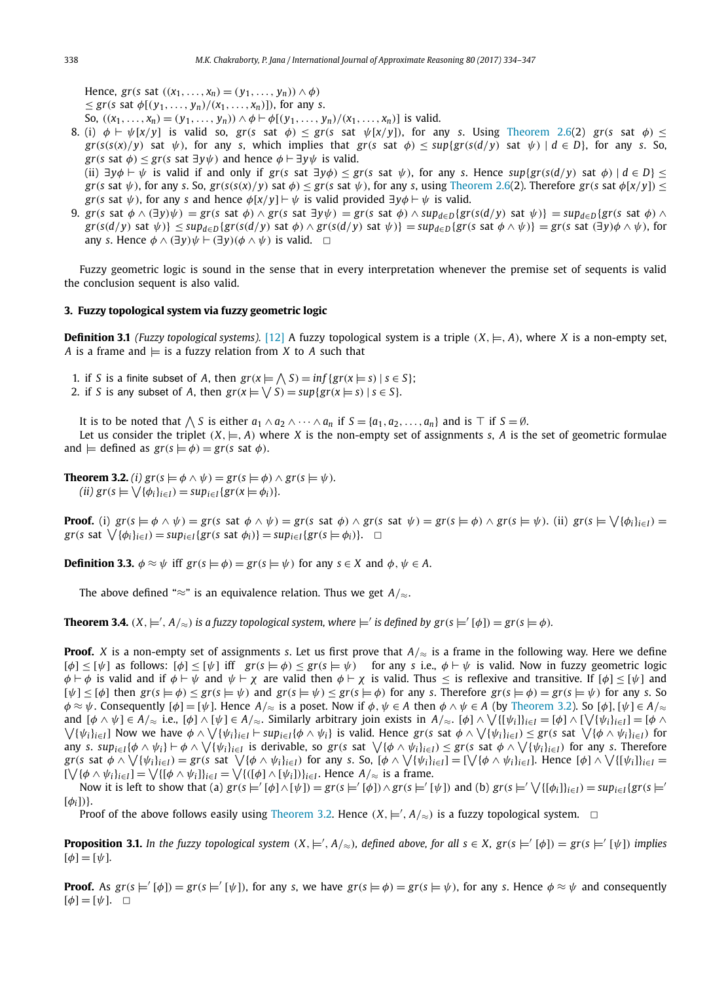Hence, *gr*(*s* sat ((*x*1,..., *xn*) = (*y*1,..., *yn*)) ∧ φ) ≤ *gr*(*s* sat φ[(*y*1,..., *yn*)/(*x*1,..., *xn*)]), for any *s*.

- So,  $((x_1, ..., x_n) = (y_1, ..., y_n)) \wedge \phi \vdash \phi[(y_1, ..., y_n)/(x_1, ..., x_n)]$  is valid.
- 8. (i)  $\phi \vdash \psi[x/y]$  is valid so, *gr*(*s* sat  $\phi$ )  $\leq$  *gr*(*s* sat  $\psi[x/y]$ ), for any *s*. Using Theorem 2.6(2) *gr*(*s* sat  $\phi$ )  $\leq$  $gr(s(s(x)/y)$  sat  $\psi$ ), for any *s*, which implies that  $gr(s \text{ sat } \phi) \leq sup\{gr(s(d/y) \text{ sat } \psi) \mid d \in D\}$ , for any *s*. So, *gr*(*s* sat  $\phi$ ) < *gr*(*s* sat  $\exists y \psi$ ) and hence  $\phi \vdash \exists y \psi$  is valid.

(ii)  $\exists y \phi \vdash \psi$  is valid if and only if *gr*(*s* sat  $\exists y \phi$ ) ≤ *gr*(*s* sat  $\psi$ ), for any *s*. Hence *sup*{*gr*(*s*(*d*/*y*) sat  $\phi$ ) | *d* ∈ *D*} ≤  $gr(s \text{ sat } \psi)$ , for any s. So,  $gr(s(s(x)/y) \text{ sat } \phi) < gr(s \text{ sat } \psi)$ , for any s, using Theorem 2.6(2). Therefore  $gr(s \text{ sat } \phi[x/y])$  < *gr(s* sat  $\psi$ ), for any *s* and hence  $\phi[x/\nu]$  ⊢  $\psi$  is valid provided  $\exists \nu \phi \vdash \psi$  is valid.

9.  $gr(s \text{ sat } \phi \wedge (\exists y)\psi) = gr(s \text{ sat } \phi) \wedge gr(s \text{ sat } \exists y\psi) = gr(s \text{ sat } \phi) \wedge \sup_{d \in D} \{gr(s(d/y) \text{ sat } \psi)\} = \sup_{d \in D} \{gr(s \text{ sat } \phi) \wedge \sup_{d \in D} \{gr(s(d/y) \text{ sat } \psi)\} = \sup_{d \in D} \{gr(s \text{ sat } \phi) \wedge \sup_{d \in D} \{gr(s(d/y) \text{ sat } \psi)\} = \sup_{d \in D} \{gr(s \text{ sat } \phi) \wedge \sup_{d \in D} \{gr(s(d/y$  $gr(s(d/y)$  sat  $\psi$ )} < sup<sub>deD</sub>{ $gr(s(d/y)$  sat  $\phi$ )  $\land$   $gr(s(d/y)$  sat  $\psi$ }} = sup<sub>deD</sub>{ $gr(s)$  sat  $\phi \land \psi$ }} =  $gr(s)$  sat  $(\exists y)\phi \land \psi$ }, for any *s*. Hence  $\phi \wedge (\exists v) \psi \vdash (\exists v)(\phi \wedge \psi)$  is valid.  $\Box$ 

Fuzzy geometric logic is sound in the sense that in every interpretation whenever the premise set of sequents is valid the conclusion sequent is also valid.

#### **3. Fuzzy topological system via fuzzy geometric logic**

**Definition 3.1** *(Fuzzy topological systems).* [12] A fuzzy topological system is a triple  $(X, \models, A)$ , where X is a non-empty set, *A* is a frame and  $\models$  is a fuzzy relation from *X* to *A* such that

1. if *S* is a finite subset of *A*, then  $gr(x \models \bigwedge S) = inf\{gr(x \models s) \mid s \in S\};$ 

2. if *S* is any subset of *A*, then  $gr(x \models \bigvee S) = sup\{gr(x \models s) | s \in S\}$ .

It is to be noted that  $\bigwedge S$  is either  $a_1 \wedge a_2 \wedge \cdots \wedge a_n$  if  $S = \{a_1, a_2, \ldots, a_n\}$  and is  $\top$  if  $S = \emptyset$ .

Let us consider the triplet  $(X, \models, A)$  where *X* is the non-empty set of assignments *s*, *A* is the set of geometric formulae and  $\models$  defined as  $gr(s \models \phi) = gr(s \text{ sat } \phi)$ .

**Theorem 3.2.** *(i)*  $gr(s \models \phi \land \psi) = gr(s \models \phi) \land gr(s \models \psi)$ .  $(iii)$   $gr(s \models \bigvee {\phi_i}_{i \in I}) = sup_{i \in I} {gr(x \models \phi_i)}$ .

**Proof.** (i)  $gr(s \models \phi \land \psi) = gr(s \text{ sat } \phi \land \psi) = gr(s \text{ sat } \phi) \land gr(s \text{ sat } \psi) = gr(s \models \phi) \land gr(s \models \psi)$ . (ii)  $gr(s \models \sqrt{\{\phi_i\}_{i \in I}}) =$  $gr(s \text{ sat }\nabla\{\phi_i\}_{i\in I}) = sup_{i\in I}\{gr(s \text{ sat }\phi_i)\} = sup_{i\in I}\{gr(s \models \phi_i)\}.$ 

**Definition 3.3.**  $\phi \approx \psi$  iff  $gr(s \models \phi) = gr(s \models \psi)$  for any  $s \in X$  and  $\phi, \psi \in A$ .

The above defined "≈" is an equivalence relation. Thus we get *A*/≈.

**Theorem 3.4.**  $(X, \models', A/\approx)$  is a fuzzy topological system, where  $\models'$  is defined by  $gr(s \models' [\phi]) = gr(s \models \phi)$ .

**Proof.** *X* is a non-empty set of assignments *s*. Let us first prove that  $A/\approx$  is a frame in the following way. Here we define  $[\phi] \leq [\psi]$  as follows:  $[\phi] \leq [\psi]$  iff  $gr(s \models \phi) \leq gr(s \models \psi)$  for any *s* i.e.,  $\phi \vdash \psi$  is valid. Now in fuzzy geometric logic  $\phi \vdash \phi$  is valid and if  $\phi \vdash \psi$  and  $\psi \vdash \chi$  are valid then  $\phi \vdash \chi$  is valid. Thus  $\leq$  is reflexive and transitive. If  $[\phi] \leq [\psi]$  and  $\lceil \psi \rceil \leq \lceil \phi \rceil$  then  $\operatorname{gr}(s \models \phi) \leq \operatorname{gr}(s \models \psi)$  and  $\operatorname{gr}(s \models \psi) \leq \operatorname{gr}(s \models \phi)$  for any *s*. Therefore  $\operatorname{gr}(s \models \phi) = \operatorname{gr}(s \models \psi)$  for any *s*. So  $\phi \approx \psi$ . Consequently  $[\phi] = [\psi]$ . Hence  $A_{\infty}$  is a poset. Now if  $\phi, \psi \in A$  then  $\phi \wedge \psi \in A$  (by Theorem 3.2). So  $[\phi], [\psi] \in A_{\infty}$ and  $[\phi \wedge \psi] \in A/\approx$  i.e.,  $[\phi] \wedge [\psi] \in A/\approx$ . Similarly arbitrary join exists in  $A/\approx$ .  $[\phi] \wedge \sqrt{\{[\psi_i]\}_{i\in I}} = [\phi] \wedge [\sqrt{\{\psi_i\}_{i\in I}}] = [\phi \wedge \sqrt{\{\psi_i\}_{i\in I}}]$  $\bigvee \{\psi_i\}_{i\in I}\}$  Now we have  $\phi \wedge \bigvee \{\psi_i\}_{i\in I} \vdash supp_{i\in I} \{\phi \wedge \psi_i\}$  is valid. Hence  $gr(s$  sat  $\phi \wedge \bigvee \{\psi_i\}_{i\in I}) \leq gr(s$  sat  $\bigvee \{\phi \wedge \psi_i\}_{i\in I})$  for any s. su $p_{i\in I}\{\phi\wedge\psi_i\}\vdash\phi\wedge\bigvee\{\psi_i\}_{i\in I}$  is derivable, so  $gr(s$  sat  $\bigvee\{\phi\wedge\psi_i\}_{i\in I})\leq gr(s$  sat  $\phi\wedge\bigvee\{\psi_i\}_{i\in I})$  for any s. Therefore  $\mathrm{gr}(\mathrm{s}% (\mathrm{d}))\leq\mathrm{gr}(\mathrm{d}(\mathrm{d}))\leq\mathrm{gr}(\mathrm{d}(\mathrm{d}))\leq\mathrm{gr}(\mathrm{d}(\mathrm{d}))\leq\mathrm{gr}(\mathrm{d}(\mathrm{d}))\leq\mathrm{gr}(\mathrm{d}(\mathrm{d}))\leq\mathrm{gr}(\mathrm{d}(\mathrm{d}))\leq\mathrm{gr}(\mathrm{d}(\mathrm{d}))\leq\mathrm{gr}(\mathrm{d}(\mathrm{d}))\leq\mathrm{gr}(\mathrm{d}(\mathrm{d}))\leq\mathrm{gr}(\mathrm{d}(\mathrm{d}))\leq\mathrm{gr}(\mathrm{d}(\mathrm{d}))\leq\mathrm{gr}$  $[\bigvee \{\phi \wedge \psi_i\}_{i \in I}] = \bigvee \{[\phi \wedge \psi_i]\}_{i \in I} = \bigvee \{([\phi] \wedge [\psi_i])\}_{i \in I}$ . Hence  $A_{\ell} \approx$  is a frame.

Now it is left to show that (a)  $gr(s \models' [\phi] \land [\psi]) = gr(s \models' [\phi]) \land gr(s \models' [\psi])$  and (b)  $gr(s \models' \bigvee \{[\phi_i]\}_{i \in I}) = sup_{i \in I} \{gr(s \models' \bigcup \{[\phi_i]\}_{i \in I})\}$  $\lceil \phi_i \rceil$ ) }.

Proof of the above follows easily using Theorem 3.2. Hence  $(X, \models', A/\approx)$  is a fuzzy topological system.  $\Box$ 

**Proposition 3.1.** In the fuzzy topological system  $(X, \models', A/\approx)$ , defined above, for all  $s \in X$ ,  $gr(s \models' [\phi]) = gr(s \models' [\psi])$  implies  $[\phi] = [\psi]$ .

**Proof.** As  $gr(s = [b]) = gr(s = [b])$ , for any *s*, we have  $gr(s = \phi) = gr(s = \psi)$ , for any *s*. Hence  $\phi \approx \psi$  and consequently  $[\phi] = [\psi]$ .  $\Box$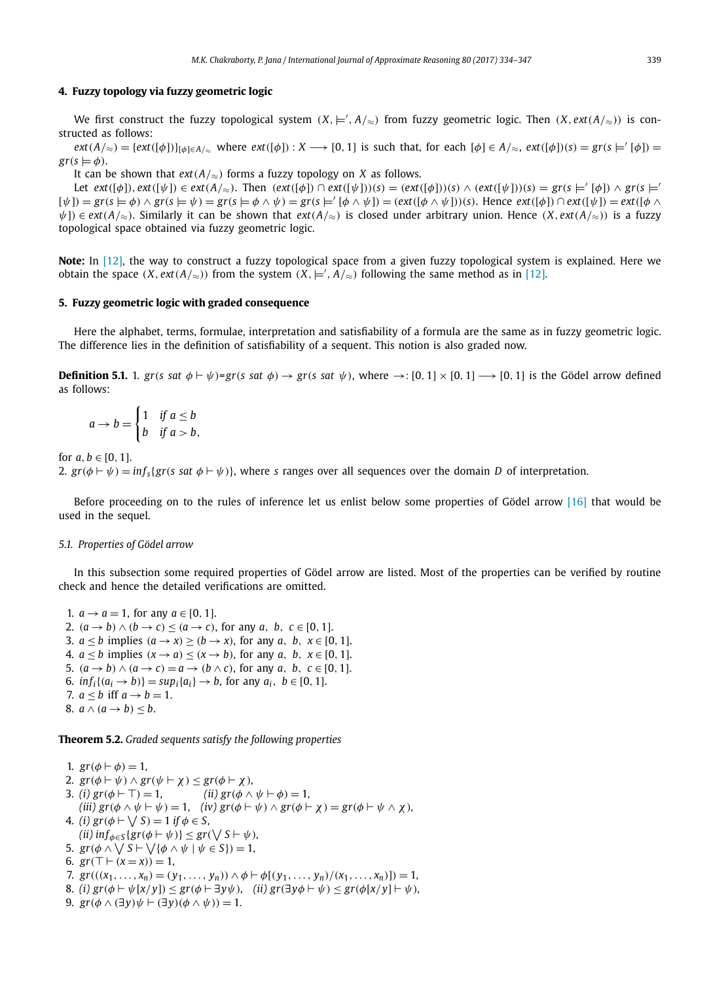#### **4. Fuzzy topology via fuzzy geometric logic**

We first construct the fuzzy topological system  $(X, \models', A/\approx)$  from fuzzy geometric logic. Then  $(X, ext(A/\approx))$  is constructed as follows:

 $ext(A/\approx) = \{ext([\phi])\}_{[\phi]\in A/\approx}$  where  $ext([\phi]): X \longrightarrow [0, 1]$  is such that, for each  $[\phi] \in A/\approx$ ,  $ext([\phi])(s) = gr(s \models' [\phi]) =$  $gr(s \models \phi)$ .

It can be shown that  $ext(A/\approx)$  forms a fuzzy topology on *X* as follows.

Let  $ext([\phi]), ext([\psi]) \in ext(A/\approx)$ . Then  $ext([\phi]) \cap ext([\psi]))(s) = (ext([\phi]))(s) \wedge (ext([\psi]))(s) = gr(s \models' [\phi]) \wedge gr(s \models'$  $[\psi]$ ) =  $\text{gr}(\mathbf{s} \models \phi) \land \text{gr}(\mathbf{s} \models \psi) = \text{gr}(\mathbf{s} \models \phi \land \psi) = \text{gr}(\mathbf{s} \models' [\phi \land \psi]) = (\text{ext}([\phi \land \psi]))(\mathbf{s})$ . Hence  $\text{ext}([\phi]) \cap \text{ext}([\psi]) = \text{ext}([\phi \land \psi])$ ψ]) ∈ *ext*(*A*/≈). Similarly it can be shown that *ext*(*A*/≈) is closed under arbitrary union. Hence (*X*, *ext*(*A*/≈)) is a fuzzy topological space obtained via fuzzy geometric logic.

**Note:** In [12], the way to construct a fuzzy topological space from a given fuzzy topological system is explained. Here we obtain the space  $(X, ext(A/\n<sub>\in</sub>))$  from the system  $(X, \models', A/\n<sub>\infty</sub>)$  following the same method as in [12].

#### **5. Fuzzy geometric logic with graded consequence**

Here the alphabet, terms, formulae, interpretation and satisfiability of a formula are the same as in fuzzy geometric logic. The difference lies in the definition of satisfiability of a sequent. This notion is also graded now.

**Definition 5.1.** 1.  $gr(s \text{ sat } \phi \vdash \psi) = gr(s \text{ sat } \phi) \rightarrow gr(s \text{ sat } \psi)$ , where  $\rightarrow : [0, 1] \times [0, 1] \rightarrow [0, 1]$  is the Gödel arrow defined as follows:

$$
a \to b = \begin{cases} 1 & \text{if } a \leq b \\ b & \text{if } a > b, \end{cases}
$$

for  $a, b \in [0, 1]$ .

2.  $gr(\phi \vdash \psi) = inf_{s} {gr(s \text{ sat } \phi \vdash \psi)}$ , where *s* ranges over all sequences over the domain *D* of interpretation.

Before proceeding on to the rules of inference let us enlist below some properties of Gödel arrow [16] that would be used in the sequel.

#### *5.1. Properties of Gödel arrow*

In this subsection some required properties of Gödel arrow are listed. Most of the properties can be verified by routine check and hence the detailed verifications are omitted.

1.  $a \to a = 1$ , for any  $a \in [0, 1]$ . 2.  $(a \rightarrow b) \land (b \rightarrow c) \leq (a \rightarrow c)$ , for any *a*, *b*,  $c \in [0, 1]$ . 3.  $a \leq b$  implies  $(a \rightarrow x) \geq (b \rightarrow x)$ , for any *a*, *b*,  $x \in [0, 1]$ . 4.  $a \leq b$  implies  $(x \to a) \leq (x \to b)$ , for any *a*, *b*,  $x \in [0, 1]$ . 5.  $(a \rightarrow b) \land (a \rightarrow c) = a \rightarrow (b \land c)$ , for any *a*, *b*,  $c \in [0, 1]$ . 6.  $inf_i\{(a_i \to b)\} = sup_i\{a_i\} \to b$ , for any  $a_i, b \in [0, 1]$ . 7.  $a < b$  iff  $a \rightarrow b = 1$ . 8.  $a \wedge (a \rightarrow b) \leq b$ .

**Theorem 5.2.** *Graded sequents satisfy the following properties*

1.  $gr(\phi \vdash \phi) = 1$ , 2.  $gr(\phi \vdash \psi) \wedge gr(\psi \vdash \chi) \leq gr(\phi \vdash \chi)$ , 3. *(i)*  $gr(\phi \vdash \top) = 1,$  *(ii)*  $gr(\phi \land \psi \vdash \phi) = 1,$  $(iii)$   $gr(\phi \wedge \psi \vdash \psi) = 1$ ,  $(iv)$   $gr(\phi \vdash \psi) \wedge gr(\phi \vdash \chi) = gr(\phi \vdash \psi \wedge \chi)$ , 4. *(i)*  $gr(\phi \vdash \bigvee S) = 1$  *if*  $\phi \in S$ ,  $\{ \text{inf}_{\phi \in S} \{ \text{gr}(\phi \vdash \psi) \} \leq \text{gr}(\bigvee S \vdash \psi),$ 5.  $gr(\phi \wedge \bigvee S \vdash \bigvee \{\phi \wedge \psi \mid \psi \in S\}) = 1$ , 6.  $gr(T \vdash (x = x)) = 1$ , 7.  $gr(((x_1, \ldots, x_n) = (y_1, \ldots, y_n)) \wedge \phi \vdash \phi[(y_1, \ldots, y_n)/(x_1, \ldots, x_n))] = 1$ , 8. *(i)*  $gr(\phi \vdash \psi[x/y]) \leq gr(\phi \vdash \exists y \psi)$ , *(ii)*  $gr(\exists y \phi \vdash \psi) \leq gr(\phi[x/y] \vdash \psi)$ ,

```
9. gr(\phi \wedge (\exists y)\psi \vdash (\exists y)(\phi \wedge \psi)) = 1.
```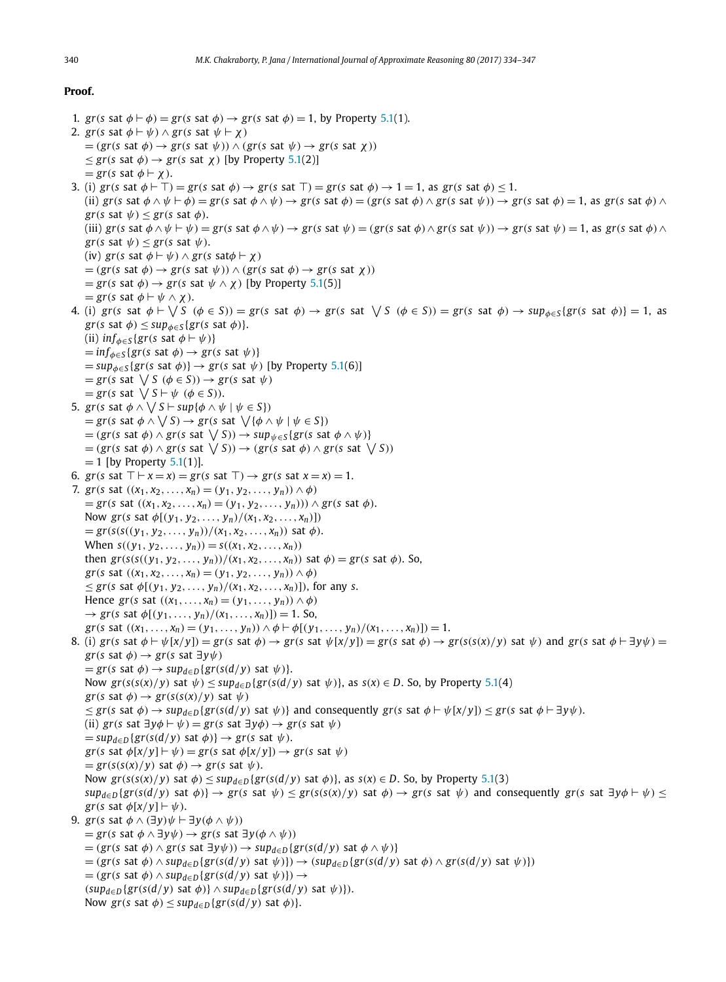#### **Proof.**

```
1. gr(s sat \phi \vdash \phi) = gr(s sat \phi) \rightarrow gr(s sat \phi) = 1, by Property 5.1(1).
2. gr(s sat \phi \vdash \psi) \land gr(s sat \psi \vdash \chi)
     =(\text{gr}(s \text{ sat } \phi) \rightarrow \text{gr}(s \text{ sat } \psi)) \wedge (\text{gr}(s \text{ sat } \psi) \rightarrow \text{gr}(s \text{ sat } \chi))\leq gr(s sat \phi) \rightarrow gr(s sat \chi) [by Property 5.1(2)]
     = gr(s sat \phi \vdash \chi).
3. (i) gr(s \text{ sat } \phi \vdash \top) = gr(s \text{ sat } \phi) \rightarrow gr(s \text{ sat } \top) = gr(s \text{ sat } \phi) \rightarrow 1 = 1, as gr(s \text{ sat } \phi) \leq 1.
     (ii) gr(s \text{ sat } \phi \land \psi \vdash \phi) = gr(s \text{ sat } \phi \land \psi) \rightarrow gr(s \text{ sat } \phi) = (gr(s \text{ sat } \phi) \land gr(s \text{ sat } \psi)) \rightarrow gr(s \text{ sat } \phi) = 1, as gr(s \text{ sat } \phi) \land gr(s \text{ sat } \phi) = 1gr(s sat \psi) \leq gr(s sat \phi).
     (iii) gr(s \text{ sat } \phi \land \psi \vdash \psi) = gr(s \text{ sat } \phi \land \psi) \rightarrow gr(s \text{ sat } \psi) = (gr(s \text{ sat } \phi) \land gr(s \text{ sat } \psi)) \rightarrow gr(s \text{ sat } \psi) = 1, as gr(s \text{ sat } \phi) \land gr(s \text{ sat } \psi) = 1gr(s sat \psi) \leq gr(s sat \psi).
     (iv) gr(s \text{ sat } \phi \vdash \psi) \land gr(s \text{ sat } \phi \vdash \chi)= (gr(s \text{ sat } \phi) \rightarrow gr(s \text{ sat } \psi)) \land (gr(s \text{ sat } \phi) \rightarrow gr(s \text{ sat } \chi))= gr(s sat \phi) \rightarrow gr(s sat \psi \land \chi) [by Property 5.1(5)]
     = gr(s sat \phi \vdash \psi \wedge \chi).
4. (i) gr(s \text{ sat } \phi \vdash \bigvee S (\phi \in S)) = gr(s \text{ sat } \phi) \rightarrow gr(s \text{ sat } \bigvee S (\phi \in S)) = gr(s \text{ sat } \phi) \rightarrow sup_{\phi \in S} \{gr(s \text{ sat } \phi)\} = 1, as
     gr(s \text{ sat } \phi) \leq sup_{\phi \in S} \{gr(s \text{ sat } \phi)\}.(ii) inf_{\phi \in S} \{ gr(s \text{ sat } \phi \vdash \psi) \}= inf_{\phi \in S} \{ gr(s \text{ sat } \phi) \rightarrow gr(s \text{ sat } \psi) \}= \sup_{\phi \in S} \{gr(s \text{ sat } \phi) \} \rightarrow gr(s \text{ sat } \psi) [by Property 5.1(6)]
     = gr(s \text{ sat } \bigvee S \ (\phi \in S)) \rightarrow gr(s \text{ sat } \psi)= gr(s \text{ sat } \bigvee S \vdash \psi \ (\phi \in S)).5. gr(s sat \phi \land \bigvee S \vdash \sup \{\phi \land \psi \mid \psi \in S\})
     = gr(s \text{ sat } \phi \land \bigvee S) \rightarrow gr(s \text{ sat } \bigvee {\phi \land \psi \mid \psi \in S})= (gr(s \text{ sat } \phi) \land gr(s \text{ sat } \bigvee S)) \rightarrow sup_{\psi \in S} \{gr(s \text{ sat } \phi \land \psi)\}= (gr(s \text{ sat } \phi) \land gr(s \text{ sat } \bigvee S)) \rightarrow (gr(s \text{ sat } \phi) \land gr(s \text{ sat } \bigvee S))= 1 [by Property 5.1(1)].
6. gr(s sat \top \vdash x = x) = gr(s sat \top) \rightarrow gr(s sat x = x) = 1.
7. gr(s sat ((x_1, x_2,...,x_n) = (y_1, y_2,..., y_n)) \wedge \phi)= gr(s sat ((x<sub>1</sub>, x<sub>2</sub>, . . . , x<sub>n</sub>) = (y<sub>1</sub>, y<sub>2</sub>, . . . , y<sub>n</sub>))) ∧ gr(s sat φ).
     Now gr(s sat \phi[(y<sub>1</sub>, y<sub>2</sub>, ..., y<sub>n</sub>)/(x<sub>1</sub>, x<sub>2</sub>, ..., x<sub>n</sub>)])
     = gr(s((y<sub>1</sub>, y<sub>2</sub>,..., y<sub>n</sub>))/(x<sub>1</sub>, x<sub>2</sub>,..., x<sub>n</sub>)) sat \phi).
     When s((y_1, y_2, \ldots, y_n)) = s((x_1, x_2, \ldots, x_n))then gr(s(s((y<sub>1</sub>, y<sub>2</sub>, ..., y<sub>n</sub>))/(x<sub>1</sub>, x<sub>2</sub>, ..., x<sub>n</sub>)) sat \phi) = gr(s sat \phi). So,
     gr(s sat ((x_1, x_2,..., x_n) = (y_1, y_2,..., y_n)) \wedge \phi)\leq gr(s sat \phi[(y<sub>1</sub>, y<sub>2</sub>, ..., y<sub>n</sub>)/(x<sub>1</sub>, x<sub>2</sub>, ..., x<sub>n</sub>)]), for any s.
     Hence gr(s \text{ sat } ((x_1, \ldots, x_n) = (y_1, \ldots, y_n)) \wedge \phi)\rightarrow gr(s sat \phi[(y<sub>1</sub>, ..., y<sub>n</sub>)/(x<sub>1</sub>, ..., x<sub>n</sub>)]) = 1. So,
     gr(s \text{ sat } ((x_1, \ldots, x_n) = (y_1, \ldots, y_n)) \wedge \phi \vdash \phi [(y_1, \ldots, y_n)/(x_1, \ldots, x_n))] = 1.8. (i) gr(s sat \phi \vdash \psi[x/y]) = gr(s sat \phi) \rightarrow gr(s sat \psi[x/y]) = gr(s sat \phi) \rightarrow gr(s(s(x)/y) sat \psi) and gr(s sat \phi \vdash \exists y \psi) = g(s \otimes \psi)gr(s sat \phi) \rightarrow gr(s sat \exists y \psi)
     = \text{gr}(s \text{ sat } \phi) \rightarrow \text{sup}_{d \in D} \{ \text{gr}(s(d/y) \text{ sat } \psi) \}.Now gr(s(s(x)/y) sat \psi) \leq sup<sub>d∈</sub>D{gr(s(d/y) sat \psi}}, as s(x) \in D. So, by Property 5.1(4)
     gr(s sat \phi) \rightarrow gr(s(s(x)/y) sat \psi)
     \leq gr(s sat \phi) \rightarrow sup<sub>d∈D</sub>{gr(s(d/y) sat \psi}} and consequently gr(s sat \phi \vdash \psi[x/y]) \leq gr(s sat \phi \vdash \exists y \psi).
     (ii) gr(s \text{ sat } ∃y\phi ⊢ \psi) = gr(s \text{ sat } ∃y\phi) \rightarrow gr(s \text{ sat } \psi)= \sup_{d \in D} \{gr(s(d/y) \text{ sat } \phi) \} \rightarrow gr(s \text{ sat } \psi).gr(s sat \phi[x/y] \vdash \psi) = gr(s sat \phi[x/y]) \rightarrow gr(s sat \psi)
     = gr(s(s(x)/y) sat \phi) \rightarrow gr(s sat \psi).
     Now gr(s(s(x)/y) sat \phi) \leq sup_{d \in D} \{gr(s(d/y) \text{ sat } \phi)\}\, as s(x) \in D. So, by Property 5.1(3)
     sup_{d\in D}{gr(s(d/y) \text{ sat } \phi)} \rightarrow gr(s \text{ sat } \psi) \leq gr(s(s(x)/y) \text{ sat } \phi) \rightarrow gr(s \text{ sat } \psi) and consequently gr(s \text{ sat } \exists y \phi \vdash \psi) \leq gr(s \text{ sat } \phi)gr(s sat \phi[x/y] \vdash \psi).
9. gr(s sat \phi \wedge (\exists y)\psi \vdash \exists y(\phi \wedge \psi))= gr(s sat φ ∧ ∃y\psi) → gr(s sat ∃y(\phi ∧ \psi))
     = (gr(s \text{ sat } \phi) \wedge gr(s \text{ sat } \exists y \psi)) \rightarrow sup_{d \in D} \{ gr(s(d/y) \text{ sat } \phi \wedge \psi) \}=(gr(s \text{ sat }\phi) \wedge sup_{d \in D} \{gr(s(d/y) \text{ sat }\psi)\}) \rightarrow (sup_{d \in D} \{gr(s(d/y) \text{ sat }\phi) \wedge gr(s(d/y) \text{ sat }\psi)\})= (gr(s \text{ sat } \phi) \wedge sup_{d \in D} \{gr(s(d/y) \text{ sat } \psi)\}) \rightarrow(sup_{d\in D}{gr(s(d/y) \text{ sat }\phi)} \wedge sup_{d\in D}{gr(s(d/y) \text{ sat }\psi)}.
     Now gr(s sat \phi) \leq sup<sub>d∈D</sub>{gr(s(d/y) sat \phi)}.
```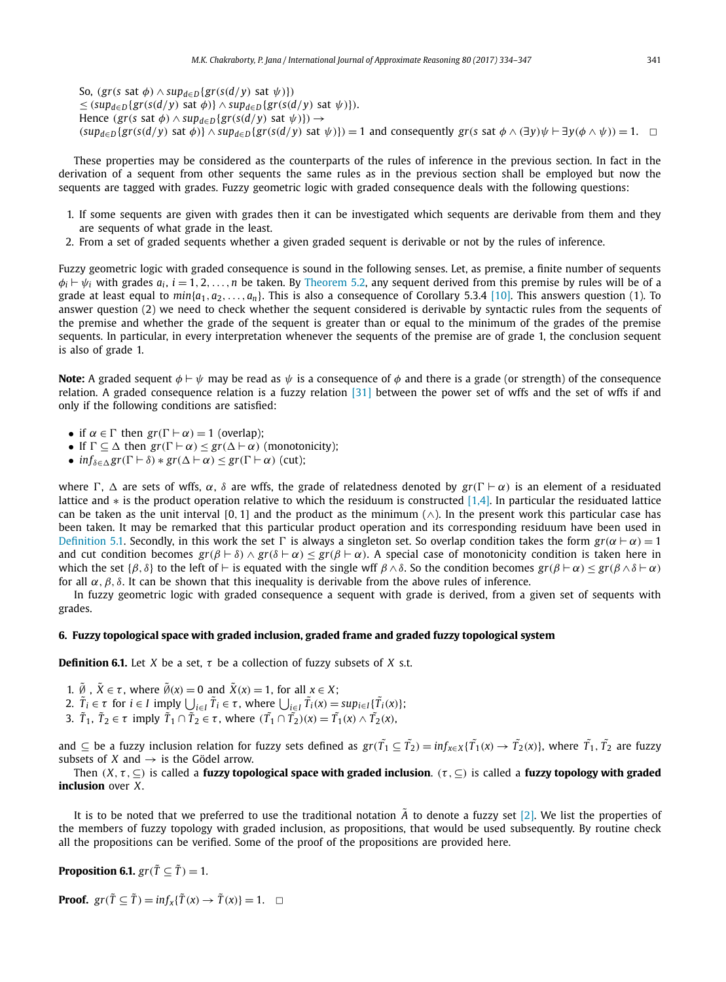So,  $(gr(s \text{ sat } \phi) \wedge sup_{d \in D} \{gr(s(d/y) \text{ sat } \psi)\})$  $≤$  (*sup*<sub>*d*∈*D*</sub>{*gr*(*s*(*d*/*y*) sat *ϕ*)} ∧ *sup*<sub>*d*∈*D*</sub>{*gr*(*s*(*d*/*y*) sat *ψ*)}). Hence  $(gr(s \text{ sat } \phi) \wedge \text{sup}_{d \in D} \{gr(s(d/y) \text{ sat } \psi)\}) \rightarrow$  $(sup_{d\in D}\{gr(s(d/y) \text{ sat }\phi)\}\wedge sup_{d\in D}\{gr(s(d/y) \text{ sat }\psi)\})=1$  and consequently  $gr(s \text{ sat }\phi \wedge (\exists y)\psi \vdash \exists y(\phi \wedge \psi))=1$ .

These properties may be considered as the counterparts of the rules of inference in the previous section. In fact in the derivation of a sequent from other sequents the same rules as in the previous section shall be employed but now the sequents are tagged with grades. Fuzzy geometric logic with graded consequence deals with the following questions:

- 1. If some sequents are given with grades then it can be investigated which sequents are derivable from them and they are sequents of what grade in the least.
- 2. From a set of graded sequents whether a given graded sequent is derivable or not by the rules of inference.

Fuzzy geometric logic with graded consequence is sound in the following senses. Let, as premise, a finite number of sequents  $\phi_i \vdash \psi_i$  with grades  $a_i$ ,  $i=1,2,\ldots,n$  be taken. By Theorem 5.2, any sequent derived from this premise by rules will be of a grade at least equal to *min*{*a*1,*a*2,...,*an*}. This is also a consequence of Corollary 5.3.4 [10]. This answers question (1). To answer question (2) we need to check whether the sequent considered is derivable by syntactic rules from the sequents of the premise and whether the grade of the sequent is greater than or equal to the minimum of the grades of the premise sequents. In particular, in every interpretation whenever the sequents of the premise are of grade 1, the conclusion sequent is also of grade 1.

**Note:** A graded sequent  $\phi \vdash \psi$  may be read as  $\psi$  is a consequence of  $\phi$  and there is a grade (or strength) of the consequence relation. A graded consequence relation is a fuzzy relation [31] between the power set of wffs and the set of wffs if and only if the following conditions are satisfied:

- if  $\alpha \in \Gamma$  then  $gr(\Gamma \vdash \alpha) = 1$  (overlap):
- If  $\Gamma \subseteq \Delta$  then  $gr(\Gamma \vdash \alpha) \leq gr(\Delta \vdash \alpha)$  (monotonicity);
- $inf_{\delta \in \Delta} gr(\Gamma \vdash \delta) * gr(\Delta \vdash \alpha) \leq gr(\Gamma \vdash \alpha)$  (cut);

where  $\Gamma$ ,  $\Delta$  are sets of wffs,  $\alpha$ ,  $\delta$  are wffs, the grade of relatedness denoted by  $gr(\Gamma \vdash \alpha)$  is an element of a residuated lattice and ∗ is the product operation relative to which the residuum is constructed [1,4]. In particular the residuated lattice can be taken as the unit interval [0, 1] and the product as the minimum ( $\wedge$ ). In the present work this particular case has been taken. It may be remarked that this particular product operation and its corresponding residuum have been used in Definition 5.1. Secondly, in this work the set  $\Gamma$  is always a singleton set. So overlap condition takes the form  $gr(\alpha \vdash \alpha) = 1$ and cut condition becomes  $gr(\beta \vdash \delta) \land gr(\delta \vdash \alpha) < gr(\beta \vdash \alpha)$ . A special case of monotonicity condition is taken here in which the set { $\beta$ ,  $\delta$ } to the left of ⊢ is equated with the single wff  $\beta \wedge \delta$ . So the condition becomes  $gr(\beta \vdash \alpha) < gr(\beta \wedge \delta \vdash \alpha)$ for all  $\alpha$ ,  $\beta$ ,  $\delta$ . It can be shown that this inequality is derivable from the above rules of inference.

In fuzzy geometric logic with graded consequence a sequent with grade is derived, from a given set of sequents with grades.

#### **6. Fuzzy topological space with graded inclusion, graded frame and graded fuzzy topological system**

**Definition 6.1.** Let *X* be a set,  $\tau$  be a collection of fuzzy subsets of *X* s.t.

- 1.  $\tilde{\emptyset}$ ,  $\tilde{X} \in \tau$ , where  $\tilde{\emptyset}(x) = 0$  and  $\tilde{X}(x) = 1$ , for all  $x \in X$ ;
- 2.  $\tilde{T}_i \in \tau$  for  $i \in I$  imply  $\bigcup_{i \in I} \tilde{T}_i \in \tau$ , where  $\bigcup_{i \in I} \tilde{T}_i(x) = \sup_{i \in I} \{ \tilde{T}_i(x) \}$ ;
- 3.  $\tilde{T}_1$ ,  $\tilde{T}_2 \in \tau$  imply  $\tilde{T}_1 \cap \tilde{T}_2 \in \tau$ , where  $(\tilde{T}_1 \cap \tilde{T}_2)(x) = \tilde{T}_1(x) \wedge \tilde{T}_2(x)$ ,

and  $\subseteq$  be a fuzzy inclusion relation for fuzzy sets defined as  $gr(\tilde{T_1}\subseteq\tilde{T_2})=inf_{x\in X}\{\tilde{T_1}(x)\to\tilde{T_2}(x)\},$  where  $\tilde{T_1},\tilde{T_2}$  are fuzzy subsets of *X* and  $\rightarrow$  is the Gödel arrow.

Then  $(X, \tau, \subseteq)$  is called a **fuzzy topological space with graded inclusion**.  $(\tau, \subseteq)$  is called a **fuzzy topology with graded inclusion** over *X*.

It is to be noted that we preferred to use the traditional notation  $\vec{A}$  to denote a fuzzy set [2]. We list the properties of the members of fuzzy topology with graded inclusion, as propositions, that would be used subsequently. By routine check all the propositions can be verified. Some of the proof of the propositions are provided here.

**Proposition 6.1.**  $gr(\tilde{T} \subseteq \tilde{T}) = 1$ .

**Proof.**  $gr(\tilde{T} \subseteq \tilde{T}) = inf_x{\{\tilde{T}(x) \to \tilde{T}(x)\}} = 1. \quad \Box$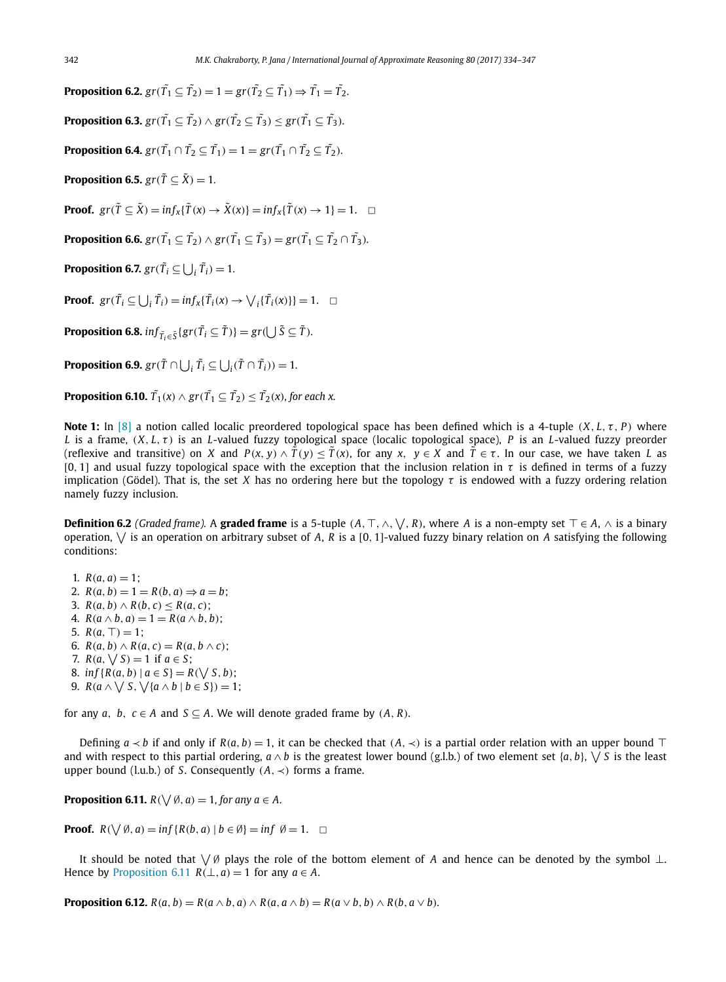**Proposition 6.2.**  $gr(\tilde{T_1} \subseteq \tilde{T_2}) = 1 = gr(\tilde{T_2} \subseteq \tilde{T_1}) \Rightarrow \tilde{T_1} = \tilde{T_2}.$ **Proposition 6.3.**  $gr(\tilde{T_1} \subseteq \tilde{T_2}) \wedge gr(\tilde{T_2} \subseteq \tilde{T_3}) \leq gr(\tilde{T_1} \subseteq \tilde{T_3}).$ **Proposition 6.4.**  $gr(\tilde{T_1} \cap \tilde{T_2} \subseteq \tilde{T_1}) = 1 = gr(\tilde{T_1} \cap \tilde{T_2} \subseteq \tilde{T_2})$ . **Proposition 6.5.**  $gr(\tilde{T} \subseteq \tilde{X}) = 1$ . **Proof.**  $gr(\tilde{T} \subseteq \tilde{X}) = inf_x{\tilde{T}(x) \to \tilde{X}(x)} = inf_x{\tilde{T}(x) \to 1} = 1. \quad \Box$ **Proposition 6.6.**  $gr(\tilde{T_1} \subseteq \tilde{T_2}) \wedge gr(\tilde{T_1} \subseteq \tilde{T_3}) = gr(\tilde{T_1} \subseteq \tilde{T_2} \cap \tilde{T_3}).$ **Proposition 6.7.**  $gr(\tilde{T}_i \subseteq \bigcup_i \tilde{T}_i) = 1$ . **Proof.**  $gr(\tilde{T}_i \subseteq \bigcup_i \tilde{T}_i) = inf_x{\{\tilde{T}_i(x) \to \bigvee_i{\{\tilde{T}_i(x)\}\}} = 1. \quad \Box$ **Proposition 6.8.**  $inf_{\tilde{T}_i \in \tilde{S}} \{ gr(\tilde{T}_i \subseteq \tilde{T}) \} = gr(\bigcup \tilde{S} \subseteq \tilde{T}).$ 

**Proposition 6.9.**  $gr(\tilde{T} \cap \bigcup_i \tilde{T}_i \subseteq \bigcup_i (\tilde{T} \cap \tilde{T}_i)) = 1$ .

**Proposition 6.10.**  $\tilde{T}_1(x) \wedge \mathrm{gr}(\tilde{T}_1 \subseteq \tilde{T}_2) \leq \tilde{T}_2(x)$ , for each  $x$ .

**Note 1:** In [8] a notion called localic preordered topological space has been defined which is a 4-tuple (*X*, *L*, τ , *P*) where *L* is a frame,  $(X, L, \tau)$  is an *L*-valued fuzzy topological space (localic topological space), *P* is an *L*-valued fuzzy preorder (reflexive and transitive) on *X* and  $P(x, y) \wedge \tilde{T}(y) \leq \tilde{T}(x)$ , for any  $x, y \in X$  and  $\tilde{T} \in \tau$ . In our case, we have taken *L* as [0, 1] and usual fuzzy topological space with the exception that the inclusion relation in  $\tau$  is defined in terms of a fuzzy implication (Gödel). That is, the set *X* has no ordering here but the topology  $\tau$  is endowed with a fuzzy ordering relation namely fuzzy inclusion.

Definition 6.2 *(Graded frame).* A graded frame is a 5-tuple  $(A, \top, \wedge, \vee, R)$ , where *A* is a non-empty set ⊤ ∈ *A*,  $\wedge$  is a binary operation,  $\bigvee$  is an operation on arbitrary subset of A, R is a [0, 1]-valued fuzzy binary relation on A satisfying the following conditions:

- 1.  $R(a, a) = 1$ ;
- 2.  $R(a, b) = 1 = R(b, a) \Rightarrow a = b;$
- 3.  $R(a, b) \wedge R(b, c) \leq R(a, c);$
- 4.  $R(a \wedge b, a) = 1 = R(a \wedge b, b);$
- 5.  $R(a, \top) = 1$ :
- 6.  $R(a, b) \wedge R(a, c) = R(a, b \wedge c)$ ;
- 7.  $R(a, \sqrt{S}) = 1$  if  $a \in S$ ;
- 8. *inf* { $R(a, b) | a \in S$ } =  $R(\sqrt{S}, b)$ ;
- 9.  $R(a \wedge \bigvee S, \bigvee \{a \wedge b \mid b \in S\}) = 1;$

for any *a*, *b*,  $c \in A$  and  $S \subseteq A$ . We will denote graded frame by  $(A, R)$ .

Defining  $a \lt b$  if and only if  $R(a, b) = 1$ , it can be checked that  $(A, \lt)$  is a partial order relation with an upper bound ⊤ and with respect to this partial ordering,  $a \wedge b$  is the greatest lower bound (g.l.b.) of two element set  $\{a, b\}$ ,  $\vee S$  is the least upper bound (l.u.b.) of *S*. Consequently  $(A, \prec)$  forms a frame.

**Proposition 6.11.**  $R(\bigvee \emptyset, a) = 1$ , for any  $a \in A$ .

**Proof.**  $R(\bigvee \emptyset, a) = \inf \{ R(b, a) \mid b \in \emptyset \} = \inf \emptyset = 1. \quad \Box$ 

It should be noted that  $\setminus\emptyset$  plays the role of the bottom element of *A* and hence can be denoted by the symbol ⊥. Hence by Proposition 6.11  $R(\perp, a) = 1$  for any  $a \in A$ .

**Proposition 6.12.**  $R(a, b) = R(a \wedge b, a) \wedge R(a, a \wedge b) = R(a \vee b, b) \wedge R(b, a \vee b)$ .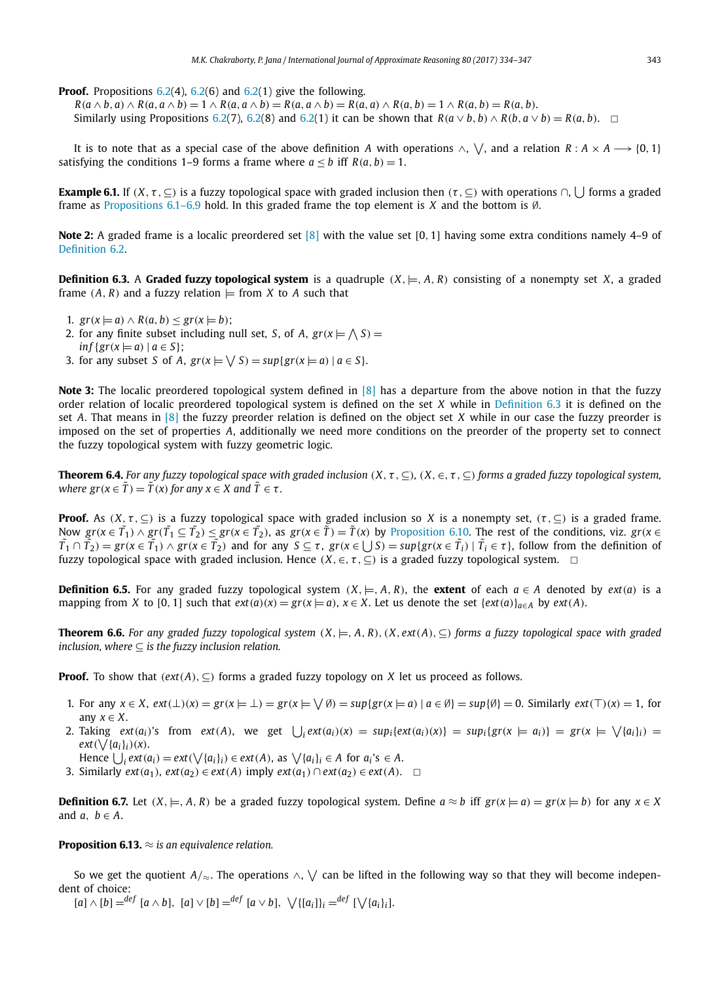**Proof.** Propositions  $6.2(4)$ ,  $6.2(6)$  and  $6.2(1)$  give the following.

 $R(a \wedge b, a) \wedge R(a, a \wedge b) = 1 \wedge R(a, a \wedge b) = R(a, a \wedge b) = R(a, a) \wedge R(a, b) = 1 \wedge R(a, b) = R(a, b).$ Similarly using Propositions 6.2(7), 6.2(8) and 6.2(1) it can be shown that  $R(a \vee b, b) \wedge R(b, a \vee b) = R(a, b)$ .  $\Box$ 

It is to note that as a special case of the above definition  $A$  with operations  $\wedge, \vee,$  and a relation  $R:A\times A\longrightarrow \{0,1\}$ satisfying the conditions 1–9 forms a frame where  $a \leq b$  iff  $R(a, b) = 1$ .

**Example 6.1.** If  $(X,\tau,\subseteq)$  is a fuzzy topological space with graded inclusion then  $(\tau,\subseteq)$  with operations  $\cap$ ,  $\bigcup$  forms a graded frame as Propositions 6.1–6.9 hold. In this graded frame the top element is *X* and the bottom is ∅.

**Note 2:** A graded frame is a localic preordered set [8] with the value set [0, 1] having some extra conditions namely 4–9 of Definition 6.2.

**Definition 6.3.** A **Graded fuzzy topological system** is a quadruple  $(X, \models, A, R)$  consisting of a nonempty set *X*, a graded frame  $(A, R)$  and a fuzzy relation  $\models$  from *X* to *A* such that

- 1.  $gr(x \models a) \land R(a, b) \leq gr(x \models b);$
- 2. for any finite subset including null set, *S*, of *A*,  $gr(x \models \bigwedge S) =$
- $inf{gr(x \models a) | a \in S};$
- 3. for any subset *S* of *A*,  $gr(x \models \bigvee S) = sup\{gr(x \models a) \mid a \in S\}$ .

**Note 3:** The localic preordered topological system defined in [8] has a departure from the above notion in that the fuzzy order relation of localic preordered topological system is defined on the set *X* while in Definition 6.3 it is defined on the set *A*. That means in [8] the fuzzy preorder relation is defined on the object set *X* while in our case the fuzzy preorder is imposed on the set of properties *A*, additionally we need more conditions on the preorder of the property set to connect the fuzzy topological system with fuzzy geometric logic.

**Theorem 6.4.** For any fuzzy topological space with graded inclusion  $(X, \tau, \subseteq)$ ,  $(X, \in, \tau, \subseteq)$  forms a graded fuzzy topological system, *where*  $\text{gr}(x \in \tilde{T}) = \tilde{T}(x)$  *for any*  $x \in X$  *and*  $\tilde{T} \in \tau$ *.* 

**Proof.** As  $(X, \tau, \subseteq)$  is a fuzzy topological space with graded inclusion so *X* is a nonempty set,  $(\tau, \subseteq)$  is a graded frame. Now  $gr(x \in \tilde{T_1}) \wedge gr(\tilde{T_1} \subseteq \tilde{T_2}) \leq gr(x \in \tilde{T_2})$ , as  $gr(x \in \tilde{T}) = \tilde{T}(x)$  by Proposition 6.10. The rest of the conditions, viz.  $gr(x \in \tilde{T_1})$  $\tilde{T_1}\cap\tilde{T_2} = \text{gr}(x\in\tilde{T_1})\wedge\text{gr}(x\in\tilde{T_2})$  and for any  $S\subseteq\tau$ ,  $\text{gr}(x\in\bigcup S) = \text{sup}\{\text{gr}(x\in\tilde{T_i})\mid\tilde{T_i}\in\tau\}$ , follow from the definition of fuzzy topological space with graded inclusion. Hence  $(X, \in, \tau, \subseteq)$  is a graded fuzzy topological system.  $\Box$ 

**Definition 6.5.** For any graded fuzzy topological system  $(X, \models, A, R)$ , the **extent** of each  $a \in A$  denoted by *ext*(*a*) is a mapping from *X* to [0, 1] such that  $ext(a)(x) = gr(x \models a)$ ,  $x \in X$ . Let us denote the set  $\{ext(a)\}_{a \in A}$  by  $ext(A)$ .

**Theorem 6.6.** For any graded fuzzy topological system  $(X, \models, A, R)$ ,  $(X, ext(A), \subseteq)$  forms a fuzzy topological space with graded *inclusion, where*  $\subset$  *is the fuzzy inclusion relation.* 

**Proof.** To show that  $(\text{ext}(A), \subseteq)$  forms a graded fuzzy topology on *X* let us proceed as follows.

- 1. For any  $x \in X$ ,  $ext(\perp)(x) = gr(x \models \perp) = gr(x \models \bigvee \emptyset) = sup\{gr(x \models a) | a \in \emptyset\} = sup\{\emptyset\} = 0$ . Similarly  $ext(\top)(x) = 1$ , for any  $x \in X$ .
- 2. Taking  $ext(a_i)$ 's from  $ext(A)$ , we get  $\bigcup_i ext(a_i)(x) = sup_i\{ext(a_i)(x)\} = sup_i\{gr(x \models a_i)\} = gr(x \models \bigvee\{a_i\}_i)$  $ext(\bigvee \{a_i\}_i)(x)$ .

Hence  $\bigcup_i \text{ext}(a_i) = \text{ext}(\bigvee \{a_i\}_i) \in \text{ext}(A)$ , as  $\bigvee \{a_i\}_i \in A$  for  $a_i$ 's  $\in A$ .

3. Similarly *ext*(*a*<sub>1</sub>), *ext*(*a*<sub>2</sub>) ∈ *ext*(*A*) imply *ext*(*a*<sub>1</sub>) ∩ *ext*(*a*<sub>2</sub>) ∈ *ext*(*A*).  $□$ 

**Definition 6.7.** Let  $(X, \models, A, R)$  be a graded fuzzy topological system. Define  $a \approx b$  iff  $gr(x \models a) = gr(x \models b)$  for any  $x \in X$ and  $a, b \in A$ .

**Proposition 6.13.** ≈ *is an equivalence relation.*

So we get the quotient  $A/{\approx}$ . The operations  $\wedge, \vee$  can be lifted in the following way so that they will become independent of choice:

 $[a] \wedge [b] = \begin{cases} \frac{de}{f} [a \wedge b], [a] \vee [b] = \begin{cases} \frac{de}{f} [a \vee b], \vee \{[a_i\}]_i = \end{cases} \begin{cases} \frac{de}{f} [c] \vee \{a_i\}_i \end{cases}$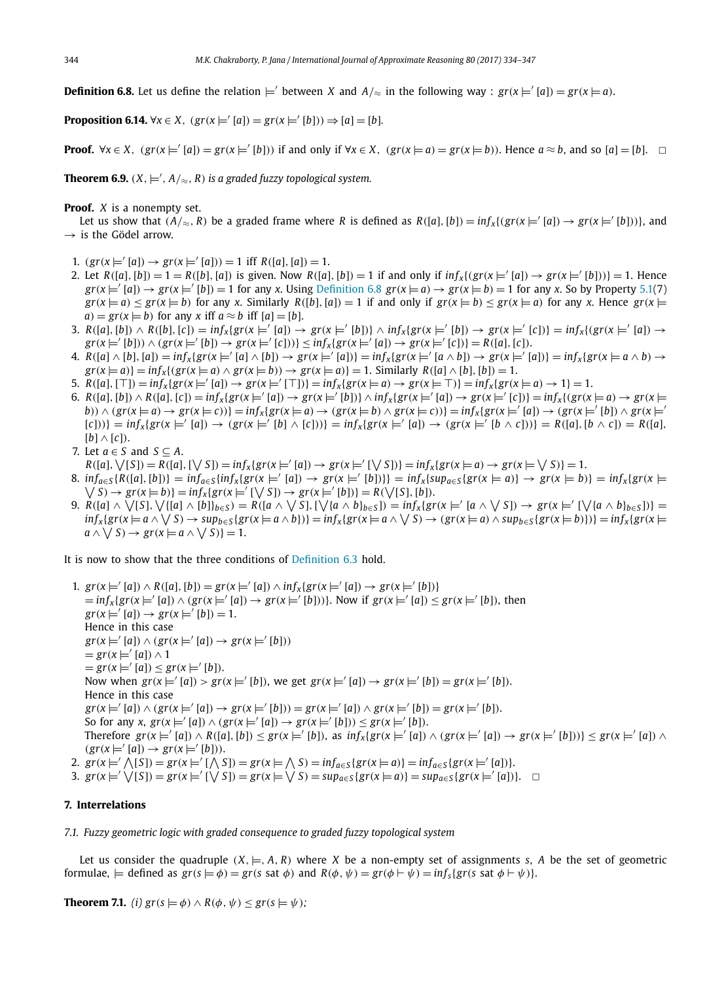**Definition 6.8.** Let us define the relation  $\models'$  between *X* and  $A/\approx$  in the following way :  $gr(x \models' [a]) = gr(x \models a)$ .

**Proposition 6.14.**  $\forall x \in X$ ,  $(gr(x) = ' [a]) = gr(x) = ' [b]) \Rightarrow [a] = [b]$ *.* 

**Proof.**  $\forall x \in X$ ,  $(gr(x) = [a]) = gr(x) = [b])$  if and only if  $\forall x \in X$ ,  $(gr(x) = a) = gr(x) = b$ ). Hence  $a \approx b$ , and so  $[a] = [b]$ .  $\Box$ 

**Theorem 6.9.**  $(X, \models', A/\approx, R)$  is a graded fuzzy topological system.

#### **Proof.** *X* is a nonempty set.

Let us show that  $(A/\approx, R)$  be a graded frame where *R* is defined as  $R([a],[b]) = inf_x\{(gr(x\models [a]) \rightarrow gr(x\models'[b]))\}$ , and  $\rightarrow$  is the Gödel arrow.

- 1.  $(gr(x \models ' [a]) \rightarrow gr(x \models ' [a])) = 1$  iff  $R([a], [a]) = 1$ .
- 2. Let  $R([a], [b]) = 1 = R([b], [a])$  is given. Now  $R([a], [b]) = 1$  if and only if  $inf_x \{ (gr(x \models' [a]) \rightarrow gr(x \models' [b])) \} = 1$ . Hence  $gr(x \models [a]) \rightarrow gr(x \models [b]) = 1$  for any *x*. Using Definition 6.8  $gr(x \models a) \rightarrow gr(x \models b) = 1$  for any *x*. So by Property 5.1(7)  $gr(x \models a) \leq gr(x \models b)$  for any x. Similarly  $R([b], [a]) = 1$  if and only if  $gr(x \models b) \leq gr(x \models a)$  for any x. Hence  $gr(x \models a)$  $a) = gr(x \models b)$  for any *x* iff  $a \approx b$  iff  $[a] = [b]$ .
- 3.  $R([a],[b]) \wedge R([b],[c]) = \inf_x \{gr(x \models' [a]) \rightarrow gr(x \models' [b])\} \wedge \inf_x \{gr(x \models' [b]) \rightarrow gr(x \models' [c])\} = \inf_x \{gr(x \models' [a]) \rightarrow gr(x \models' [b])\}$  $gr(x \models' [b])) \land (gr(x \models' [b]) \rightarrow gr(x \models' [c]))$ }  $\leq inf_x\{gr(x \models' [a]) \rightarrow gr(x \models' [c])\} = R([a], [c]).$
- 4.  $R([a] \wedge [b], [a]) = \inf_x \{ gr(x \models' [a] \wedge [b]) \rightarrow gr(x \models' [a]) \} = \inf_x \{ gr(x \models' [a \wedge b]) \rightarrow gr(x \models' [a]) \} = \inf_x \{ gr(x \models a \wedge b) \rightarrow g(x \models b]) \}$  $gr(x \models a)$ } =  $inf_x$ {( $gr(x \models a) \land gr(x \models b)$ )  $\rightarrow gr(x \models a)$ } = 1. Similarly *R*([*a*]  $\land$  [*b*]), [*b*]) = 1.
- 5.  $R([a], [\top]) = \inf_x \{ gr(x |x | = |a]) \rightarrow gr(x |x | = |m|) \} = \inf_x \{ gr(x |x a) \rightarrow gr(x |x | = |m|) \} = \inf_x \{ gr(x |x a) \rightarrow 1 \} = 1.$
- 6.  $R([a],[b]) \wedge R([a],[c]) = \inf_x \{ gr(x\models'[a]) \rightarrow gr(x\models'[b]) \} \wedge \inf_x \{ gr(x\models'[a]) \rightarrow gr(x\models'[c]) \} = \inf_x \{ (gr(x\models a) \rightarrow gr(x\models[b]) \}$ b))  $\wedge$  (gr(x  $\models$  a)  $\rightarrow$  gr(x  $\models$  c))} = inf<sub>x</sub>{gr(x  $\models$  a)  $\rightarrow$  (gr(x  $\models$  b)  $\wedge$  gr(x  $\models$  c))} = inf<sub>x</sub>{gr(x  $\models'$  [a])  $\rightarrow$  (gr(x  $\models'$  [b])  $\wedge$  gr(x  $\models'$  $[c]))$ } =  $inf_x\{gr(x \models' [a]) \rightarrow (gr(x \models' [b] \land [c]))\}$  =  $inf_x\{gr(x \models' [a]) \rightarrow (gr(x \models' [b \land c]))\}$  =  $R([a], [b \land c]) = R([a], [b \land c])$  $[b] \wedge [c]$ .
- 7. Let  $a \in S$  and  $S \subseteq A$ .
- $R([a], \vee [S]) = R([a], [\vee S]) = \inf_X \{ gr(x \models' [a]) \to gr(x \models' [\vee S]) \} = \inf_X \{ gr(x \models a) \to gr(x \models \vee S) \} = 1.$
- 8.  $inf_{a \in S} \{ R([a], [b]) \} = inf_{a \in S} \{ inf_x \{ gr(x \models' [a]) \rightarrow gr(x \models' [b]) \} \} = inf_x \{ sup_{a \in S} \{ gr(x \models a) \} \rightarrow gr(x \models b) \} = inf_x \{ gr(x \models b) \}$  $\forall$  S)  $\rightarrow$   $gr(x \models b)$ } =  $inf_x \{ gr(x \models' [\forall S]) \rightarrow gr(x \models' [b]) \} = R(\forall [S], [b]).$
- 9.  $R([a] \wedge \bigvee [S], \bigvee \{[a] \wedge [b]\}_{b \in S}) = R([a \wedge \bigvee S], [\bigvee \{a \wedge b\}_{b \in S}]) = \inf_{x} \{gr(x \models' [a \wedge \bigvee S]) \rightarrow gr(x \models' [\bigvee \{a \wedge b\}_{b \in S}])\}$  $inf_x \{ gr(x \models a \land \bigvee S) \rightarrow sup_{b \in S} \{ gr(x \models a \land b) \} \} = inf_x \{ gr(x \models a \land \bigvee S) \rightarrow (gr(x \models a) \land sup_{b \in S} \{ gr(x \models b) \} ) \} = inf_x \{ gr(x \models a) \land \bigvee S \}$  $a \wedge \bigvee S$ )  $\rightarrow$   $gr(x \models a \wedge \bigvee S)$ } = 1.

It is now to show that the three conditions of Definition 6.3 hold.

1.  $gr(x \models' [a]) \land R([a], [b]) = gr(x \models' [a]) \land inf_x\{gr(x \models' [a]) \rightarrow gr(x \models' [b])\}$  $\Rightarrow$   $\inf_x \{ \text{gr}(x \models' [a]) \land (\text{gr}(x \models' [a]) \rightarrow \text{gr}(x \models' [b])) \}$ . Now if  $\text{gr}(x \models' [a]) \leq \text{gr}(x \models' [b])$ , then  $gr(x \models' [a]) \rightarrow gr(x \models' [b]) = 1.$ Hence in this case  $gr(x \models' [a]) \wedge (gr(x \models' [a]) \rightarrow gr(x \models' [b]))$  $= \text{gr}(x \models' [a]) \wedge 1$  $= \text{gr}(x \models' [a]) \leq \text{gr}(x \models' [b]).$ Now when  $gr(x \models' [a]) > gr(x \models' [b])$ , we get  $gr(x \models' [a]) \to gr(x \models' [b]) = gr(x \models' [b])$ . Hence in this case  $gr(x \models' [a]) \wedge (gr(x \models' [a]) \rightarrow gr(x \models' [b])) = gr(x \models' [a]) \wedge gr(x \models' [b]) = gr(x \models' [b]).$ So for any *x*,  $gr(x \models' [a]) \wedge (gr(x \models' [a]) \rightarrow gr(x \models' [b])) \leq gr(x \models' [b])$ . Therefore  $gr(x \models' [a]) \wedge R([a], [b]) \leq gr(x \models' [b])$ , as  $inf_x\{gr(x \models' [a]) \wedge (gr(x \models' [a]) \rightarrow gr(x \models' [b]))\} \leq gr(x \models' [a]) \wedge gr(x \models' [b])$  $(gr(x \models' [a]) \rightarrow gr(x \models' [b]))$ . 2.  $gr(x \models' \bigwedge [S]) = gr(x \models' [\bigwedge S]) = gr(x \models \bigwedge S) = inf_{a \in S} \{gr(x \models a)\} = inf_{a \in S} \{gr(x \models' [a])\}.$ 

3.  $gr(x \models' \bigvee [S]) = gr(x \models' [\bigvee S]) = gr(x \models \bigvee S) = sup_{a \in S} \{gr(x \models a)\} = sup_{a \in S} \{gr(x \models' [a])\}.$ 

#### **7. Interrelations**

*7.1. Fuzzy geometric logic with graded consequence to graded fuzzy topological system*

Let us consider the quadruple  $(X, \models, A, R)$  where *X* be a non-empty set of assignments *s*, *A* be the set of geometric formulae,  $\models$  defined as  $gr(s \models \phi) = gr(s \text{ sat } \phi)$  and  $R(\phi, \psi) = gr(\phi \vdash \psi) = inf_s\{gr(s \text{ sat } \phi \vdash \psi)\}.$ 

**Theorem 7.1.** *(i)*  $gr(s \models \phi) \land R(\phi, \psi) \leq gr(s \models \psi)$ ;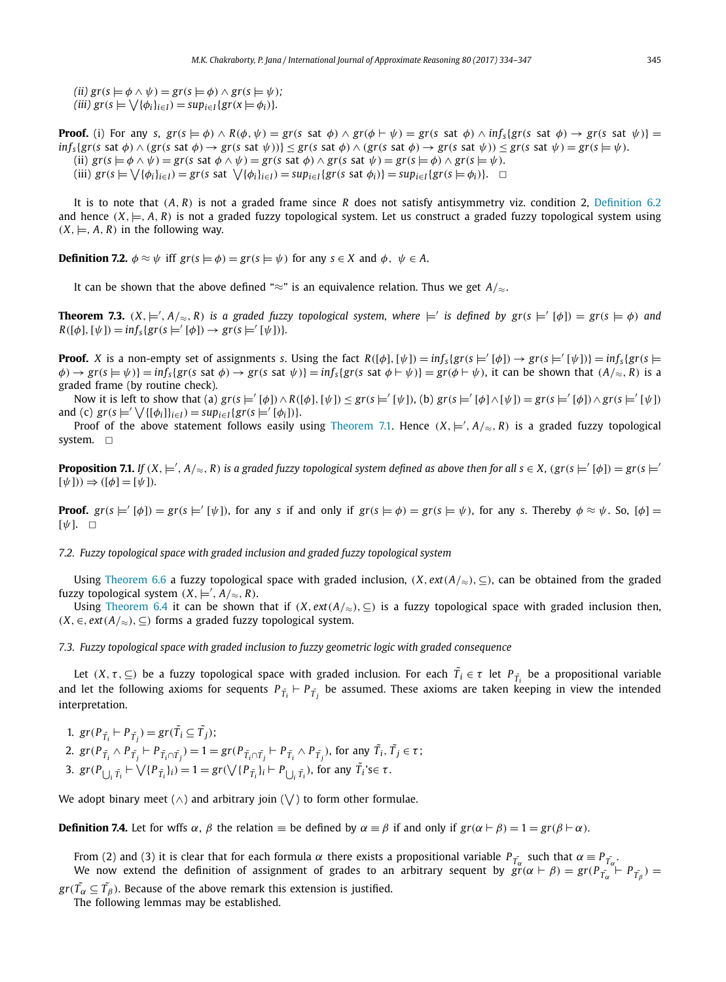$(iii)$   $gr(s \models \phi \land \psi) = gr(s \models \phi) \land gr(s \models \psi);$  $(iii)$   $gr(s \models \bigvee {\phi_i}_{i \in I}) = sup_{i \in I} {gr(x \models \phi_i)}$ 

**Proof.** (i) For any s,  $gr(s \models \phi) \land R(\phi, \psi) = gr(s \text{ sat } \phi) \land gr(\phi \vdash \psi) = gr(s \text{ sat } \phi) \land inf_s\{gr(s \text{ sat } \phi) \rightarrow gr(s \text{ sat } \psi)\}=$  $\inf_{S} \{ gr(s \text{ sat } \phi) \land (gr(s \text{ sat } \phi) \rightarrow gr(s \text{ sat } \psi)) \} \leq gr(s \text{ sat } \phi) \land (gr(s \text{ sat } \phi) \rightarrow gr(s \text{ sat } \psi)) \leq gr(s \text{ sat } \psi) = gr(s \models \psi).$ (ii)  $gr(s \models \phi \land \psi) = gr(s \text{ sat } \phi \land \psi) = gr(s \text{ sat } \phi) \land gr(s \text{ sat } \psi) = gr(s \models \phi) \land gr(s \models \psi).$ (iii)  $gr(s \models \bigvee {\{\phi_i\}_{i \in I}}) = gr(s \text{ sat } \bigvee {\{\phi_i\}_{i \in I}}) = sup_{i \in I} \{gr(s \text{ sat } \phi_i)\} = sup_{i \in I} \{gr(s \models \phi_i)\}.$ 

It is to note that (*A*, *R*) is not a graded frame since *R* does not satisfy antisymmetry viz. condition 2, Definition 6.2 and hence  $(X, \models, A, R)$  is not a graded fuzzy topological system. Let us construct a graded fuzzy topological system using  $(X, \models, A, R)$  in the following way.

**Definition 7.2.**  $\phi \approx \psi$  iff  $gr(s \models \phi) = gr(s \models \psi)$  for any  $s \in X$  and  $\phi$ ,  $\psi \in A$ .

It can be shown that the above defined "≈" is an equivalence relation. Thus we get  $A/\approx$ .

**Theorem 7.3.**  $(X, \models', A/\approx, R)$  is a graded fuzzy topological system, where  $\models'$  is defined by  $gr(s \models' [\phi]) = gr(s \models \phi)$  and  $R([\phi], [\psi]) = \inf_{s} \{ gr(s \models' [\phi]) \to gr(s \models' [\psi]) \}.$ 

**Proof.** X is a non-empty set of assignments s. Using the fact  $R([\phi],[\psi]) = inf_s(gr(s\models'[\phi]) \rightarrow gr(s\models'[\psi])) = inf_s(gr(s\models'[\psi])$  $\phi$ )  $\rightarrow$  gr(s  $\models$   $\psi$ )} = inf<sub>s</sub>{gr(s sat  $\phi$ )  $\rightarrow$  gr(s sat  $\psi$ )} = inf<sub>s</sub>{gr(s sat  $\phi$   $\models$   $\psi$ )} = gr( $\phi$   $\models$   $\psi$ ), it can be shown that (A/ $\approx$ , R) is a graded frame (by routine check).

Now it is left to show that (a)  $gr(s \models' [\phi]) \wedge R([\phi], [\psi]) \leq gr(s \models' [\psi]),$  (b)  $gr(s \models' [\phi] \wedge [\psi]) = gr(s \models' [\phi]) \wedge gr(s \models' [\psi])$ and (c)  $gr(s \models' \bigvee \{ [\phi_i] \}_{i \in I}) = sup_{i \in I} \{ gr(s \models' [\phi_i]) \}.$ 

Proof of the above statement follows easily using Theorem 7.1. Hence  $(X, \models', A/{\approx}, R)$  is a graded fuzzy topological system.  $\square$ 

**Proposition 7.1.** If  $(X, \models', A/\approx, R)$  is a graded fuzzy topological system defined as above then for all  $s \in X$ ,  $(gr(s \models' [\phi]) = gr(s \models'$  $[\psi](\psi) \Rightarrow ([\phi] = [\psi]).$ 

**Proof.**  $gr(s \models' [\phi]) = gr(s \models' [\psi])$ , for any *s* if and only if  $gr(s \models \phi) = gr(s \models \psi)$ , for any *s*. Thereby  $\phi \approx \psi$ . So,  $[\phi] =$  $\lceil \psi \rceil$ .  $\Box$ 

*7.2. Fuzzy topological space with graded inclusion and graded fuzzy topological system*

Using Theorem 6.6 a fuzzy topological space with graded inclusion, (*X*, *ext*(*A*/≈),⊆), can be obtained from the graded fuzzy topological system  $(X, \models', A/\approx, R)$ .

Using Theorem 6.4 it can be shown that if  $(X, ext(A/\approx), \subseteq)$  is a fuzzy topological space with graded inclusion then, (*X*,∈, *ext*(*A*/≈),⊆) forms a graded fuzzy topological system.

*7.3. Fuzzy topological space with graded inclusion to fuzzy geometric logic with graded consequence*

Let  $(X, \tau, \subseteq)$  be a fuzzy topological space with graded inclusion. For each  $\tilde{T_i} \in \tau$  let  $P_{\tilde{T_i}}$  be a propositional variable and let the following axioms for sequents  $P_{\tilde{T}_i}\vdash P_{\tilde{T}_j}$  be assumed. These axioms are taken keeping in view the intended interpretation.

1.  $gr(P_{\tilde{T}_i} \vdash P_{\tilde{T}_j}) = gr(\tilde{T}_i \subseteq \tilde{T}_j);$ 2.  $gr(P_{\tilde{T}_i} \wedge P_{\tilde{T}_j} \vdash P_{\tilde{T}_i \cap \tilde{T}_j}) = 1 = gr(P_{\tilde{T}_i \cap \tilde{T}_j} \vdash P_{\tilde{T}_i} \wedge P_{\tilde{T}_j})$ , for any  $\tilde{T}_i$ ,  $\tilde{T}_j \in \tau$ ; 3.  $gr(P_{\bigcup_{i} \tilde{T}_i} \vdash \bigvee \{P_{\tilde{T}_i}\}_i) = 1 = gr(\bigvee \{P_{\tilde{T}_i}\}_i \vdash P_{\bigcup_{i} \tilde{T}_i}$ , for any  $\tilde{T}_i$ 's $\in \tau$ .

We adopt binary meet ( $\land$ ) and arbitrary join ( $\bigvee$ ) to form other formulae.

**Definition 7.4.** Let for wffs  $\alpha$ ,  $\beta$  the relation  $\equiv$  be defined by  $\alpha \equiv \beta$  if and only if  $gr(\alpha \vdash \beta) = 1 = gr(\beta \vdash \alpha)$ .

From (2) and (3) it is clear that for each formula  $\alpha$  there exists a propositional variable  $P_{\tilde{T}_{\alpha}}$  such that  $\alpha = P_{\tilde{T}_{\alpha}}$ . We now extend the definition of assignment of grades to an arbitrary sequent by  $\tilde{gr}(\alpha \vdash \beta) = gr(P_{\tilde{T_{\alpha}}} \vdash P_{\tilde{T_{\beta}}}) =$ 

 $gr(\tilde{T_{\alpha}} \subseteq \tilde{T_{\beta}}).$  Because of the above remark this extension is justified. The following lemmas may be established.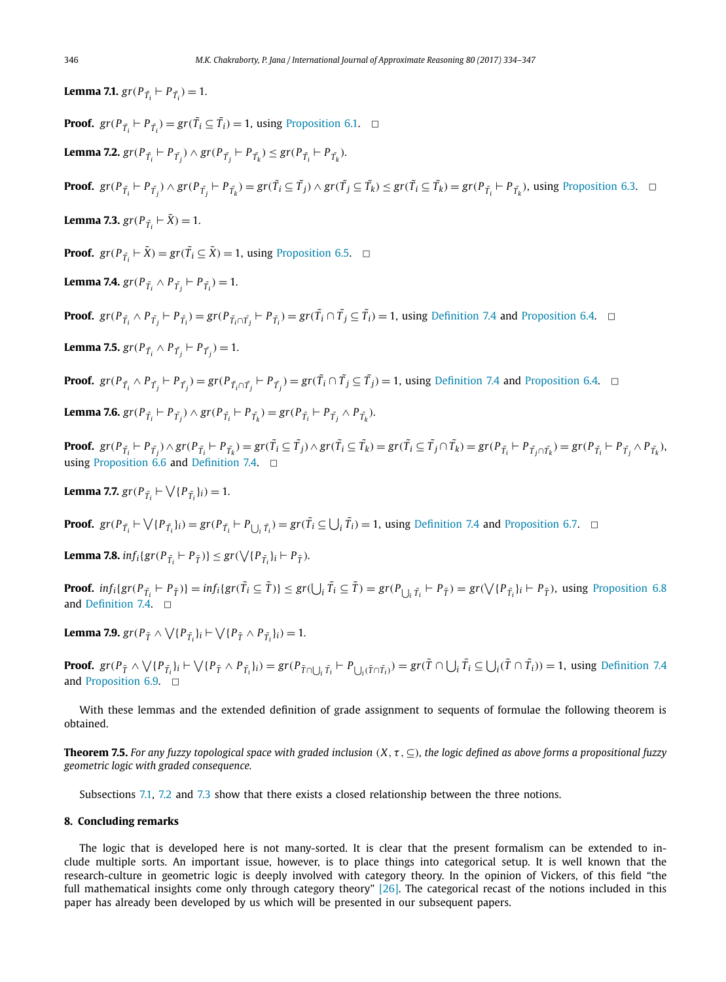**Lemma 7.1.**  $gr(P_{\tilde{T}_i} \vdash P_{\tilde{T}_i}) = 1$ .

**Proof.**  $gr(P_{\tilde{T}_i} \vdash P_{\tilde{T}_i}) = gr(\tilde{T}_i \subseteq \tilde{T}_i) = 1$ , using Proposition 6.1.  $\Box$ 

**Lemma 7.2.**  $gr(P_{\tilde{T}_i} \vdash P_{\tilde{T}_j}) \wedge gr(P_{\tilde{T}_j} \vdash P_{\tilde{T}_k}) \leq gr(P_{\tilde{T}_i} \vdash P_{\tilde{T}_k}).$ 

**Proof.**  $gr(P_{\tilde{T}_i} \vdash P_{\tilde{T}_j}) \wedge gr(P_{\tilde{T}_j} \vdash P_{\tilde{T}_k}) = gr(\tilde{T}_i \subseteq \tilde{T}_j) \wedge gr(\tilde{T}_j \subseteq \tilde{T}_k) \le gr(\tilde{T}_i \subseteq \tilde{T}_k) = gr(P_{\tilde{T}_i} \vdash P_{\tilde{T}_k})$ , using Proposition 6.3.  $\Box$ 

**Lemma 7.3.**  $gr(P_{\tilde{T}_i} \vdash \tilde{X}) = 1$ .

**Proof.**  $gr(P_{\tilde{T}_i} \vdash \tilde{X}) = gr(\tilde{T}_i \subseteq \tilde{X}) = 1$ , using Proposition 6.5.  $\Box$ 

**Lemma 7.4.** 
$$
gr(P_{\tilde{T}_i} \wedge P_{\tilde{T}_j} \vdash P_{\tilde{T}_i}) = 1.
$$

**Proof.**  $gr(P_{\tilde{T}_i} \wedge P_{\tilde{T}_j} \vdash P_{\tilde{T}_i}) = gr(P_{\tilde{T}_i \cap \tilde{T}_j} \vdash P_{\tilde{T}_i}) = gr(\tilde{T}_i \cap \tilde{T}_j \subseteq \tilde{T}_i) = 1$ , using Definition 7.4 and Proposition 6.4.  $\Box$ 

**Lemma 7.5.**  $gr(P_{\tilde{T}_i} \wedge P_{\tilde{T}_j} \vdash P_{\tilde{T}_j}) = 1.$ 

**Proof.**  $gr(P_{\tilde{T}_i} \wedge P_{\tilde{T}_j} \vdash P_{\tilde{T}_j}) = gr(P_{\tilde{T}_i \cap \tilde{T}_j} \vdash P_{\tilde{T}_j}) = gr(\tilde{T}_i \cap \tilde{T}_j \subseteq \tilde{T}_j) = 1$ , using Definition 7.4 and Proposition 6.4.  $\Box$ 

**Lemma 7.6.** 
$$
gr(P_{\tilde{T}_i} \vdash P_{\tilde{T}_j}) \wedge gr(P_{\tilde{T}_i} \vdash P_{\tilde{T}_k}) = gr(P_{\tilde{T}_i} \vdash P_{\tilde{T}_j} \wedge P_{\tilde{T}_k}).
$$

**Proof.**  $gr(P_{\tilde{T}_i} \vdash P_{\tilde{T}_j}) \wedge gr(P_{\tilde{T}_i} \vdash P_{\tilde{T}_k}) = gr(\tilde{T}_i \subseteq \tilde{T}_j) \wedge gr(\tilde{T}_i \subseteq \tilde{T}_k) = gr(\tilde{T}_i \subseteq \tilde{T}_j \cap \tilde{T}_k) = gr(P_{\tilde{T}_i} \vdash P_{\tilde{T}_j \cap \tilde{T}_k}) = gr(P_{\tilde{T}_i} \vdash P_{\tilde{T}_j} \wedge P_{\tilde{T}_k}).$ using Proposition 6.6 and Definition 7.4.  $\Box$ 

**Lemma 7.7.**  $gr(P_{\tilde{T}_i} \vdash \bigvee \{P_{\tilde{T}_i}\}_i) = 1$ *.* 

**Proof.**  $gr(P_{\tilde{T}_i} \vdash \bigvee \{P_{\tilde{T}_i}\}_i) = gr(P_{\tilde{T}_i} \vdash P_{\bigcup_i \tilde{T}_i}) = gr(\tilde{T}_i \subseteq \bigcup_i \tilde{T}_i) = 1$ , using Definition 7.4 and Proposition 6.7.  $\Box$ 

**Lemma 7.8.**  $inf_i \{ gr(P_{\tilde{T}_i} \vdash P_{\tilde{T}}) \} \leq gr(\sqrt{\{P_{\tilde{T}_i}\}}_i \vdash P_{\tilde{T}}).$ 

**Proof.**  $inf_i \{ gr(P_{\tilde{T}_i} \vdash P_{\tilde{T}}) \} = inf_i \{ gr(\tilde{T}_i \subseteq \tilde{T}) \} \leq gr(\bigcup_i \tilde{T}_i \subseteq \tilde{T}) = gr(P_{\bigcup_i \tilde{T}_i} \vdash P_{\tilde{T}}) = gr(\bigvee \{ P_{\tilde{T}_i} \}_i \vdash P_{\tilde{T}}),$  using Proposition 6.8 and Definition 7.4.  $\Box$ 

**Lemma 7.9.**  $gr(P_{\tilde{T}} \wedge \bigvee \{P_{\tilde{T}_i}\}_i \vdash \bigvee \{P_{\tilde{T}} \wedge P_{\tilde{T}_i}\}_i) = 1.$ 

**Proof.**  $gr(P_{\tilde{T}} \wedge \bigvee \{P_{\tilde{T}_i}\}_i \vdash \bigvee \{P_{\tilde{T}} \wedge P_{\tilde{T}_i}\}_i) = gr(P_{\tilde{T} \cap \bigcup_i \tilde{T}_i} \vdash P_{\bigcup_i (\tilde{T} \cap \tilde{T}_i)}) = gr(\tilde{T} \cap \bigcup_i \tilde{T}_i \subseteq \bigcup_i (\tilde{T} \cap \tilde{T}_i)) = 1$ , using Definition 7.4 and Proposition 6.9.  $\Box$ 

With these lemmas and the extended definition of grade assignment to sequents of formulae the following theorem is obtained.

**Theorem 7.5.** For any fuzzy topological space with graded inclusion  $(X, \tau, \subset)$ , the logic defined as above forms a propositional fuzzy *geometric logic with graded consequence.*

Subsections 7.1, 7.2 and 7.3 show that there exists a closed relationship between the three notions.

### **8. Concluding remarks**

The logic that is developed here is not many-sorted. It is clear that the present formalism can be extended to include multiple sorts. An important issue, however, is to place things into categorical setup. It is well known that the research-culture in geometric logic is deeply involved with category theory. In the opinion of Vickers, of this field "the full mathematical insights come only through category theory" [26]. The categorical recast of the notions included in this paper has already been developed by us which will be presented in our subsequent papers.